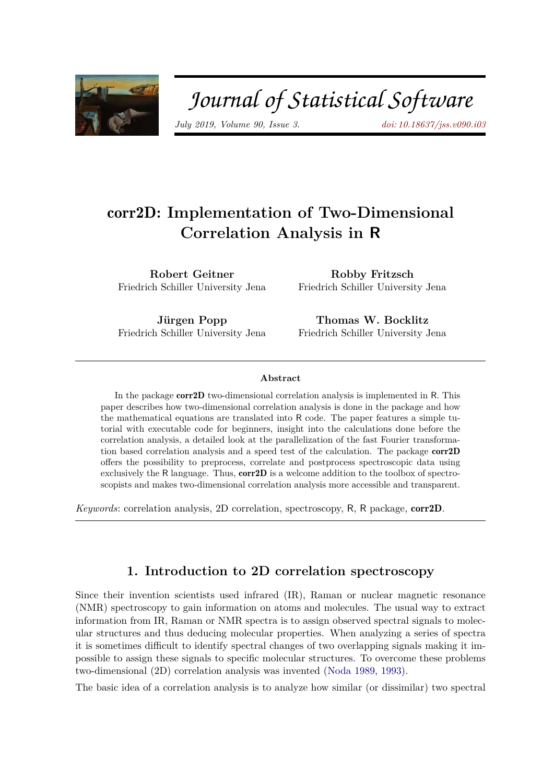

# Journal of Statistical Software

*July 2019, Volume 90, Issue 3. doi: 10.18637/jss.v090.i03*

# corr2D**: Implementation of Two-Dimensional Correlation Analysis in R**

**Robert Geitner** Friedrich Schiller University Jena

**Robby Fritzsch** Friedrich Schiller University Jena

**Jürgen Popp** Friedrich Schiller University Jena

**Thomas W. Bocklitz** Friedrich Schiller University Jena

#### **Abstract**

In the package corr2D two-dimensional correlation analysis is implemented in R. This paper describes how two-dimensional correlation analysis is done in the package and how the mathematical equations are translated into R code. The paper features a simple tutorial with executable code for beginners, insight into the calculations done before the correlation analysis, a detailed look at the parallelization of the fast Fourier transformation based correlation analysis and a speed test of the calculation. The package corr2D offers the possibility to preprocess, correlate and postprocess spectroscopic data using exclusively the R language. Thus, **corr2D** is a welcome addition to the toolbox of spectroscopists and makes two-dimensional correlation analysis more accessible and transparent.

*Keywords*: correlation analysis, 2D correlation, spectroscopy, R, R package, corr2D.

# **1. Introduction to 2D correlation spectroscopy**

Since their invention scientists used infrared (IR), Raman or nuclear magnetic resonance (NMR) spectroscopy to gain information on atoms and molecules. The usual way to extract information from IR, Raman or NMR spectra is to assign observed spectral signals to molecular structures and thus deducing molecular properties. When analyzing a series of spectra it is sometimes difficult to identify spectral changes of two overlapping signals making it impossible to assign these signals to specific molecular structures. To overcome these problems two-dimensional (2D) correlation analysis was invented (Noda 1989, 1993).

The basic idea of a correlation analysis is to analyze how similar (or dissimilar) two spectral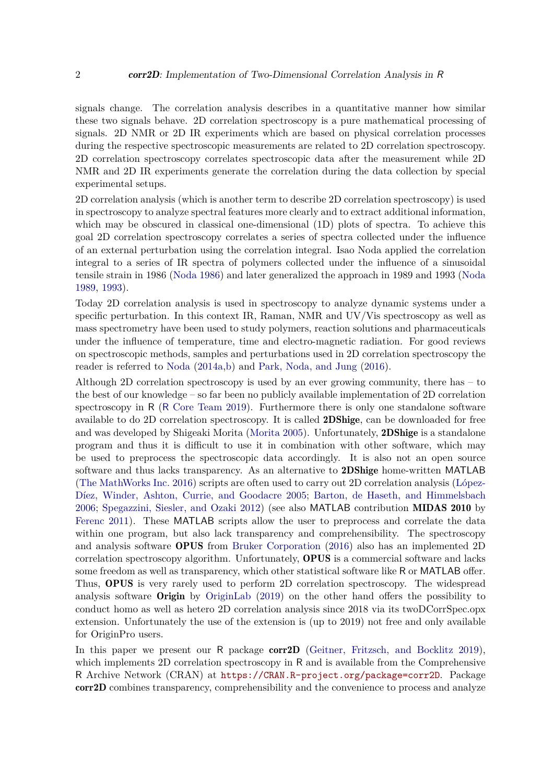signals change. The correlation analysis describes in a quantitative manner how similar these two signals behave. 2D correlation spectroscopy is a pure mathematical processing of signals. 2D NMR or 2D IR experiments which are based on physical correlation processes during the respective spectroscopic measurements are related to 2D correlation spectroscopy. 2D correlation spectroscopy correlates spectroscopic data after the measurement while 2D NMR and 2D IR experiments generate the correlation during the data collection by special experimental setups.

2D correlation analysis (which is another term to describe 2D correlation spectroscopy) is used in spectroscopy to analyze spectral features more clearly and to extract additional information, which may be obscured in classical one-dimensional (1D) plots of spectra. To achieve this goal 2D correlation spectroscopy correlates a series of spectra collected under the influence of an external perturbation using the correlation integral. Isao Noda applied the correlation integral to a series of IR spectra of polymers collected under the influence of a sinusoidal tensile strain in 1986 (Noda 1986) and later generalized the approach in 1989 and 1993 (Noda 1989, 1993).

Today 2D correlation analysis is used in spectroscopy to analyze dynamic systems under a specific perturbation. In this context IR, Raman, NMR and UV/Vis spectroscopy as well as mass spectrometry have been used to study polymers, reaction solutions and pharmaceuticals under the influence of temperature, time and electro-magnetic radiation. For good reviews on spectroscopic methods, samples and perturbations used in 2D correlation spectroscopy the reader is referred to Noda (2014a,b) and Park, Noda, and Jung (2016).

Although 2D correlation spectroscopy is used by an ever growing community, there has – to the best of our knowledge – so far been no publicly available implementation of 2D correlation spectroscopy in R (R Core Team 2019). Furthermore there is only one standalone software available to do 2D correlation spectroscopy. It is called 2DShige, can be downloaded for free and was developed by Shigeaki Morita (Morita 2005). Unfortunately, 2DShige is a standalone program and thus it is difficult to use it in combination with other software, which may be used to preprocess the spectroscopic data accordingly. It is also not an open source software and thus lacks transparency. As an alternative to **2DShige** home-written MATLAB (The MathWorks Inc. 2016) scripts are often used to carry out 2D correlation analysis (López-Díez, Winder, Ashton, Currie, and Goodacre 2005; Barton, de Haseth, and Himmelsbach 2006; Spegazzini, Siesler, and Ozaki 2012) (see also MATLAB contribution MIDAS 2010 by Ferenc 2011). These MATLAB scripts allow the user to preprocess and correlate the data within one program, but also lack transparency and comprehensibility. The spectroscopy and analysis software OPUS from Bruker Corporation (2016) also has an implemented 2D correlation spectroscopy algorithm. Unfortunately, OPUS is a commercial software and lacks some freedom as well as transparency, which other statistical software like R or MATLAB offer. Thus, OPUS is very rarely used to perform 2D correlation spectroscopy. The widespread analysis software Origin by OriginLab (2019) on the other hand offers the possibility to conduct homo as well as hetero 2D correlation analysis since 2018 via its twoDCorrSpec.opx extension. Unfortunately the use of the extension is (up to 2019) not free and only available for OriginPro users.

In this paper we present our R package corr2D (Geitner, Fritzsch, and Bocklitz 2019), which implements 2D correlation spectroscopy in R and is available from the Comprehensive R Archive Network (CRAN) at https://CRAN.R-project.org/package=corr2D. Package corr2D combines transparency, comprehensibility and the convenience to process and analyze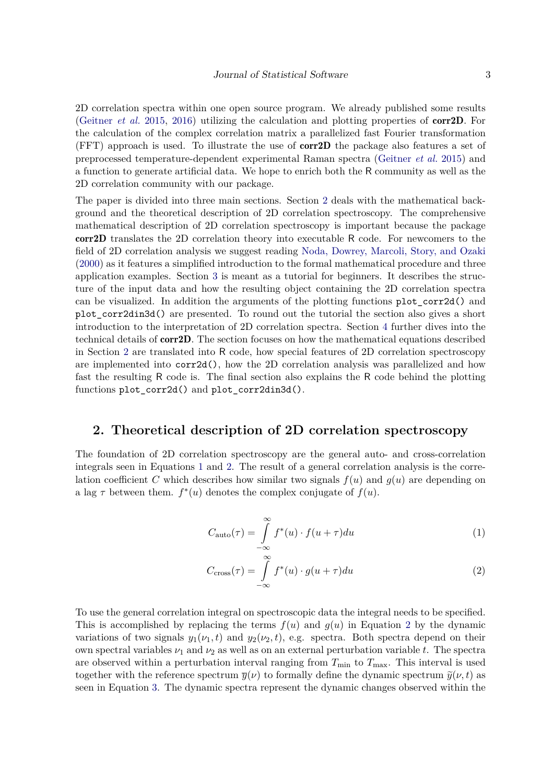2D correlation spectra within one open source program. We already published some results (Geitner *et al.* 2015, 2016) utilizing the calculation and plotting properties of corr2D. For the calculation of the complex correlation matrix a parallelized fast Fourier transformation (FFT) approach is used. To illustrate the use of corr2D the package also features a set of preprocessed temperature-dependent experimental Raman spectra (Geitner *et al.* 2015) and a function to generate artificial data. We hope to enrich both the R community as well as the 2D correlation community with our package.

The paper is divided into three main sections. Section 2 deals with the mathematical background and the theoretical description of 2D correlation spectroscopy. The comprehensive mathematical description of 2D correlation spectroscopy is important because the package corr2D translates the 2D correlation theory into executable R code. For newcomers to the field of 2D correlation analysis we suggest reading Noda, Dowrey, Marcoli, Story, and Ozaki (2000) as it features a simplified introduction to the formal mathematical procedure and three application examples. Section 3 is meant as a tutorial for beginners. It describes the structure of the input data and how the resulting object containing the 2D correlation spectra can be visualized. In addition the arguments of the plotting functions plot\_corr2d() and plot\_corr2din3d() are presented. To round out the tutorial the section also gives a short introduction to the interpretation of 2D correlation spectra. Section 4 further dives into the technical details of corr2D. The section focuses on how the mathematical equations described in Section 2 are translated into R code, how special features of 2D correlation spectroscopy are implemented into corr2d(), how the 2D correlation analysis was parallelized and how fast the resulting R code is. The final section also explains the R code behind the plotting functions plot\_corr2d() and plot\_corr2din3d().

# **2. Theoretical description of 2D correlation spectroscopy**

The foundation of 2D correlation spectroscopy are the general auto- and cross-correlation integrals seen in Equations 1 and 2. The result of a general correlation analysis is the correlation coefficient C which describes how similar two signals  $f(u)$  and  $g(u)$  are depending on a lag  $\tau$  between them.  $f^*(u)$  denotes the complex conjugate of  $f(u)$ .

$$
C_{\text{auto}}(\tau) = \int_{-\infty}^{\infty} f^*(u) \cdot f(u+\tau) du \tag{1}
$$

$$
C_{\rm cross}(\tau) = \int_{-\infty}^{\infty} f^*(u) \cdot g(u+\tau) du \tag{2}
$$

To use the general correlation integral on spectroscopic data the integral needs to be specified. This is accomplished by replacing the terms  $f(u)$  and  $g(u)$  in Equation 2 by the dynamic variations of two signals  $y_1(\nu_1, t)$  and  $y_2(\nu_2, t)$ , e.g. spectra. Both spectra depend on their own spectral variables  $\nu_1$  and  $\nu_2$  as well as on an external perturbation variable *t*. The spectra are observed within a perturbation interval ranging from  $T_{\min}$  to  $T_{\max}$ . This interval is used together with the reference spectrum  $\overline{y}(\nu)$  to formally define the dynamic spectrum  $\tilde{y}(\nu, t)$  as seen in Equation 3. The dynamic spectra represent the dynamic changes observed within the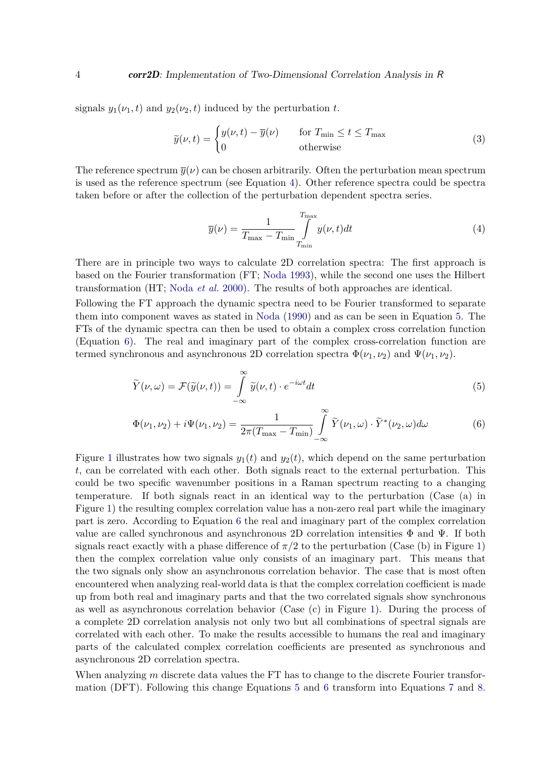signals  $y_1(\nu_1, t)$  and  $y_2(\nu_2, t)$  induced by the perturbation *t*.

$$
\widetilde{y}(\nu, t) = \begin{cases} y(\nu, t) - \overline{y}(\nu) & \text{for } T_{\min} \le t \le T_{\max} \\ 0 & \text{otherwise} \end{cases}
$$
\n(3)

The reference spectrum  $\overline{y}(\nu)$  can be chosen arbitrarily. Often the perturbation mean spectrum is used as the reference spectrum (see Equation 4). Other reference spectra could be spectra taken before or after the collection of the perturbation dependent spectra series.

$$
\overline{y}(\nu) = \frac{1}{T_{\text{max}} - T_{\text{min}}} \int_{T_{\text{min}}}^{T_{\text{max}}} y(\nu, t) dt
$$
\n(4)

There are in principle two ways to calculate 2D correlation spectra: The first approach is based on the Fourier transformation (FT; Noda 1993), while the second one uses the Hilbert transformation (HT; Noda *et al.* 2000). The results of both approaches are identical.

Following the FT approach the dynamic spectra need to be Fourier transformed to separate them into component waves as stated in Noda (1990) and as can be seen in Equation 5. The FTs of the dynamic spectra can then be used to obtain a complex cross correlation function (Equation 6). The real and imaginary part of the complex cross-correlation function are termed synchronous and asynchronous 2D correlation spectra  $\Phi(\nu_1, \nu_2)$  and  $\Psi(\nu_1, \nu_2)$ .

$$
\widetilde{Y}(\nu,\omega) = \mathcal{F}(\widetilde{y}(\nu,t)) = \int_{-\infty}^{\infty} \widetilde{y}(\nu,t) \cdot e^{-i\omega t} dt \tag{5}
$$

$$
\Phi(\nu_1, \nu_2) + i\Psi(\nu_1, \nu_2) = \frac{1}{2\pi (T_{\text{max}} - T_{\text{min}})} \int_{-\infty}^{\infty} \widetilde{Y}(\nu_1, \omega) \cdot \widetilde{Y}^*(\nu_2, \omega) d\omega \tag{6}
$$

Figure 1 illustrates how two signals  $y_1(t)$  and  $y_2(t)$ , which depend on the same perturbation *t*, can be correlated with each other. Both signals react to the external perturbation. This could be two specific wavenumber positions in a Raman spectrum reacting to a changing temperature. If both signals react in an identical way to the perturbation (Case (a) in Figure 1) the resulting complex correlation value has a non-zero real part while the imaginary part is zero. According to Equation 6 the real and imaginary part of the complex correlation value are called synchronous and asynchronous 2D correlation intensities  $\Phi$  and  $\Psi$ . If both signals react exactly with a phase difference of  $\pi/2$  to the perturbation (Case (b) in Figure 1) then the complex correlation value only consists of an imaginary part. This means that the two signals only show an asynchronous correlation behavior. The case that is most often encountered when analyzing real-world data is that the complex correlation coefficient is made up from both real and imaginary parts and that the two correlated signals show synchronous as well as asynchronous correlation behavior (Case (c) in Figure 1). During the process of a complete 2D correlation analysis not only two but all combinations of spectral signals are correlated with each other. To make the results accessible to humans the real and imaginary parts of the calculated complex correlation coefficients are presented as synchronous and asynchronous 2D correlation spectra.

When analyzing *m* discrete data values the FT has to change to the discrete Fourier transformation (DFT). Following this change Equations 5 and 6 transform into Equations 7 and 8.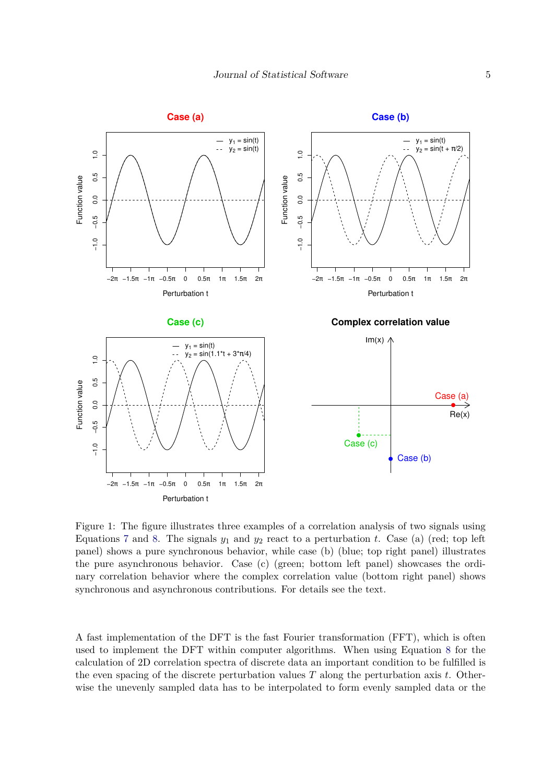

Figure 1: The figure illustrates three examples of a correlation analysis of two signals using Equations 7 and 8. The signals  $y_1$  and  $y_2$  react to a perturbation *t*. Case (a) (red; top left panel) shows a pure synchronous behavior, while case (b) (blue; top right panel) illustrates the pure asynchronous behavior. Case (c) (green; bottom left panel) showcases the ordinary correlation behavior where the complex correlation value (bottom right panel) shows synchronous and asynchronous contributions. For details see the text.

A fast implementation of the DFT is the fast Fourier transformation (FFT), which is often used to implement the DFT within computer algorithms. When using Equation 8 for the calculation of 2D correlation spectra of discrete data an important condition to be fulfilled is the even spacing of the discrete perturbation values *T* along the perturbation axis *t*. Otherwise the unevenly sampled data has to be interpolated to form evenly sampled data or the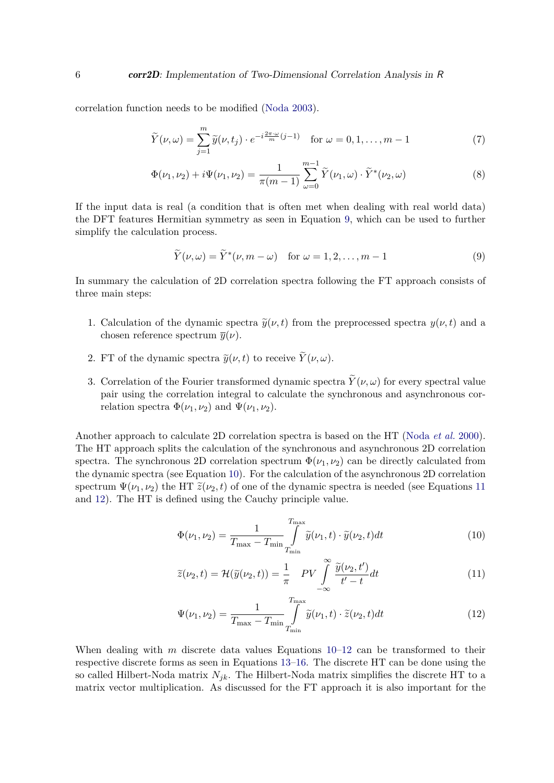correlation function needs to be modified (Noda 2003).

$$
\widetilde{Y}(\nu,\omega) = \sum_{j=1}^{m} \widetilde{y}(\nu,t_j) \cdot e^{-i\frac{2\pi\cdot\omega}{m}(j-1)} \quad \text{for } \omega = 0,1,\ldots,m-1
$$
\n(7)

$$
\Phi(\nu_1, \nu_2) + i\Psi(\nu_1, \nu_2) = \frac{1}{\pi(m-1)} \sum_{\omega=0}^{m-1} \tilde{Y}(\nu_1, \omega) \cdot \tilde{Y}^*(\nu_2, \omega)
$$
\n(8)

If the input data is real (a condition that is often met when dealing with real world data) the DFT features Hermitian symmetry as seen in Equation 9, which can be used to further simplify the calculation process.

$$
\widetilde{Y}(\nu,\omega) = \widetilde{Y}^*(\nu,m-\omega) \quad \text{for } \omega = 1,2,\ldots,m-1
$$
 (9)

In summary the calculation of 2D correlation spectra following the FT approach consists of three main steps:

- 1. Calculation of the dynamic spectra  $\tilde{y}(\nu, t)$  from the preprocessed spectra  $y(\nu, t)$  and a chosen reference spectrum  $\overline{y}(\nu)$ .
- 2. FT of the dynamic spectra  $\tilde{y}(\nu, t)$  to receive  $\tilde{Y}(\nu, \omega)$ .
- 3. Correlation of the Fourier transformed dynamic spectra  $\tilde{Y}(\nu,\omega)$  for every spectral value pair using the correlation integral to calculate the synchronous and asynchronous correlation spectra  $\Phi(\nu_1, \nu_2)$  and  $\Psi(\nu_1, \nu_2)$ .

Another approach to calculate 2D correlation spectra is based on the HT (Noda *et al.* 2000). The HT approach splits the calculation of the synchronous and asynchronous 2D correlation spectra. The synchronous 2D correlation spectrum  $\Phi(\nu_1, \nu_2)$  can be directly calculated from the dynamic spectra (see Equation 10). For the calculation of the asynchronous 2D correlation spectrum  $\Psi(\nu_1, \nu_2)$  the HT  $\tilde{z}(\nu_2, t)$  of one of the dynamic spectra is needed (see Equations 11) and 12). The HT is defined using the Cauchy principle value.

$$
\Phi(\nu_1, \nu_2) = \frac{1}{T_{\text{max}} - T_{\text{min}}} \int_{T_{\text{min}}}^{T_{\text{max}}} \tilde{y}(\nu_1, t) \cdot \tilde{y}(\nu_2, t) dt \tag{10}
$$

$$
\widetilde{z}(\nu_2, t) = \mathcal{H}(\widetilde{y}(\nu_2, t)) = \frac{1}{\pi} \quad PV \int_{-\infty}^{\infty} \frac{\widetilde{y}(\nu_2, t')}{t' - t} dt \tag{11}
$$

$$
\Psi(\nu_1, \nu_2) = \frac{1}{T_{\text{max}} - T_{\text{min}}} \int_{T_{\text{min}}}^{T_{\text{max}}} \tilde{y}(\nu_1, t) \cdot \tilde{z}(\nu_2, t) dt \tag{12}
$$

When dealing with *m* discrete data values Equations 10–12 can be transformed to their respective discrete forms as seen in Equations 13–16. The discrete HT can be done using the so called Hilbert-Noda matrix  $N_{jk}$ . The Hilbert-Noda matrix simplifies the discrete HT to a matrix vector multiplication. As discussed for the FT approach it is also important for the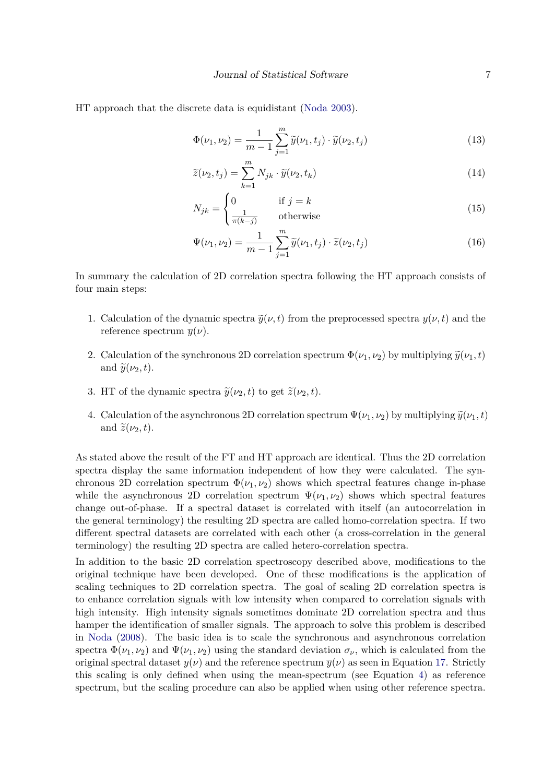HT approach that the discrete data is equidistant (Noda 2003).

$$
\Phi(\nu_1, \nu_2) = \frac{1}{m-1} \sum_{j=1}^{m} \tilde{y}(\nu_1, t_j) \cdot \tilde{y}(\nu_2, t_j)
$$
\n(13)

$$
\widetilde{z}(\nu_2, t_j) = \sum_{k=1}^{m} N_{jk} \cdot \widetilde{y}(\nu_2, t_k)
$$
\n(14)

$$
N_{jk} = \begin{cases} 0 & \text{if } j = k \\ \frac{1}{\pi(k-j)} & \text{otherwise} \end{cases}
$$
 (15)

$$
\Psi(\nu_1, \nu_2) = \frac{1}{m-1} \sum_{j=1}^{m} \tilde{y}(\nu_1, t_j) \cdot \tilde{z}(\nu_2, t_j)
$$
\n(16)

In summary the calculation of 2D correlation spectra following the HT approach consists of four main steps:

- 1. Calculation of the dynamic spectra  $\tilde{y}(\nu, t)$  from the preprocessed spectra  $y(\nu, t)$  and the reference spectrum  $\overline{y}(\nu)$ .
- 2. Calculation of the synchronous 2D correlation spectrum  $\Phi(\nu_1, \nu_2)$  by multiplying  $\tilde{y}(\nu_1, t)$ and  $\tilde{\psi}(\nu_2, t)$ .
- 3. HT of the dynamic spectra  $\tilde{y}(\nu_2, t)$  to get  $\tilde{z}(\nu_2, t)$ .
- 4. Calculation of the asynchronous 2D correlation spectrum  $\Psi(\nu_1, \nu_2)$  by multiplying  $\tilde{y}(\nu_1, t)$ and  $\tilde{z}(\nu_2, t)$ .

As stated above the result of the FT and HT approach are identical. Thus the 2D correlation spectra display the same information independent of how they were calculated. The synchronous 2D correlation spectrum  $\Phi(\nu_1, \nu_2)$  shows which spectral features change in-phase while the asynchronous 2D correlation spectrum  $\Psi(\nu_1, \nu_2)$  shows which spectral features change out-of-phase. If a spectral dataset is correlated with itself (an autocorrelation in the general terminology) the resulting 2D spectra are called homo-correlation spectra. If two different spectral datasets are correlated with each other (a cross-correlation in the general terminology) the resulting 2D spectra are called hetero-correlation spectra.

In addition to the basic 2D correlation spectroscopy described above, modifications to the original technique have been developed. One of these modifications is the application of scaling techniques to 2D correlation spectra. The goal of scaling 2D correlation spectra is to enhance correlation signals with low intensity when compared to correlation signals with high intensity. High intensity signals sometimes dominate 2D correlation spectra and thus hamper the identification of smaller signals. The approach to solve this problem is described in Noda (2008). The basic idea is to scale the synchronous and asynchronous correlation spectra  $\Phi(\nu_1, \nu_2)$  and  $\Psi(\nu_1, \nu_2)$  using the standard deviation  $\sigma_\nu$ , which is calculated from the original spectral dataset  $y(\nu)$  and the reference spectrum  $\overline{y}(\nu)$  as seen in Equation 17. Strictly this scaling is only defined when using the mean-spectrum (see Equation 4) as reference spectrum, but the scaling procedure can also be applied when using other reference spectra.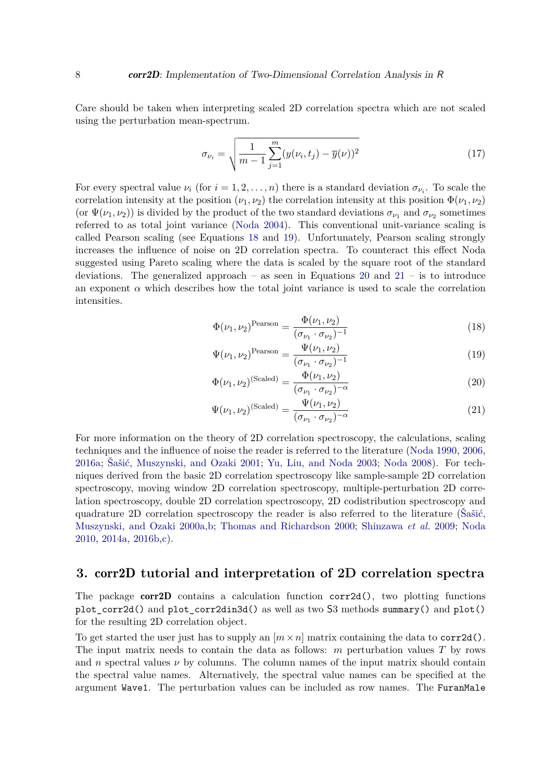Care should be taken when interpreting scaled 2D correlation spectra which are not scaled using the perturbation mean-spectrum.

$$
\sigma_{\nu_i} = \sqrt{\frac{1}{m-1} \sum_{j=1}^{m} (y(\nu_i, t_j) - \overline{y}(\nu))^2}
$$
(17)

For every spectral value  $\nu_i$  (for  $i = 1, 2, \ldots, n$ ) there is a standard deviation  $\sigma_{\nu_i}$ . To scale the correlation intensity at the position  $(\nu_1, \nu_2)$  the correlation intensity at this position  $\Phi(\nu_1, \nu_2)$ (or  $\Psi(\nu_1, \nu_2)$ ) is divided by the product of the two standard deviations  $\sigma_{\nu_1}$  and  $\sigma_{\nu_2}$  sometimes referred to as total joint variance (Noda 2004). This conventional unit-variance scaling is called Pearson scaling (see Equations 18 and 19). Unfortunately, Pearson scaling strongly increases the influence of noise on 2D correlation spectra. To counteract this effect Noda suggested using Pareto scaling where the data is scaled by the square root of the standard deviations. The generalized approach – as seen in Equations 20 and  $21 -$  is to introduce an exponent  $\alpha$  which describes how the total joint variance is used to scale the correlation intensities.

$$
\Phi(\nu_1, \nu_2)^{\text{Pearson}} = \frac{\Phi(\nu_1, \nu_2)}{(\sigma_{\nu_1} \cdot \sigma_{\nu_2})^{-1}} \tag{18}
$$

$$
\Psi(\nu_1, \nu_2)^{\text{Pearson}} = \frac{\Psi(\nu_1, \nu_2)}{(\sigma_{\nu_1} \cdot \sigma_{\nu_2})^{-1}} \tag{19}
$$

$$
\Phi(\nu_1, \nu_2)^{\text{(Scaled)}} = \frac{\Phi(\nu_1, \nu_2)}{(\sigma_{\nu_1} \cdot \sigma_{\nu_2})^{-\alpha}}
$$
\n(20)

$$
\Psi(\nu_1, \nu_2)^{\text{(Scaled)}} = \frac{\Psi(\nu_1, \nu_2)}{(\sigma_{\nu_1} \cdot \sigma_{\nu_2})^{-\alpha}}
$$
\n(21)

For more information on the theory of 2D correlation spectroscopy, the calculations, scaling techniques and the influence of noise the reader is referred to the literature (Noda 1990, 2006, 2016a; Šašić, Muszynski, and Ozaki 2001; Yu, Liu, and Noda 2003; Noda 2008). For techniques derived from the basic 2D correlation spectroscopy like sample-sample 2D correlation spectroscopy, moving window 2D correlation spectroscopy, multiple-perturbation 2D correlation spectroscopy, double 2D correlation spectroscopy, 2D codistribution spectroscopy and quadrature 2D correlation spectroscopy the reader is also referred to the literature (Šašić, Muszynski, and Ozaki 2000a,b; Thomas and Richardson 2000; Shinzawa *et al.* 2009; Noda 2010, 2014a, 2016b,c).

# **3.** corr2D **tutorial and interpretation of 2D correlation spectra**

The package corr2D contains a calculation function corr2d(), two plotting functions plot\_corr2d() and plot\_corr2din3d() as well as two S3 methods summary() and plot() for the resulting 2D correlation object.

To get started the user just has to supply an  $[m \times n]$  matrix containing the data to corr2d(). The input matrix needs to contain the data as follows: *m* perturbation values *T* by rows and *n* spectral values  $\nu$  by columns. The column names of the input matrix should contain the spectral value names. Alternatively, the spectral value names can be specified at the argument Wave1. The perturbation values can be included as row names. The FuranMale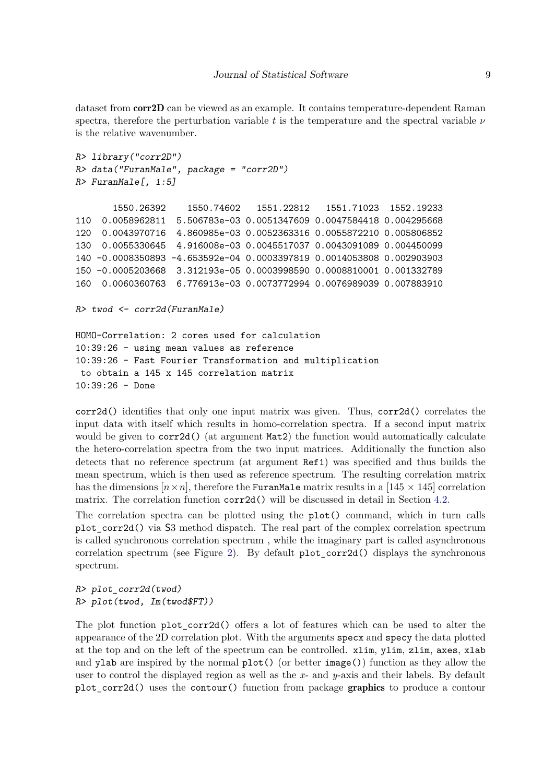dataset from **corr2D** can be viewed as an example. It contains temperature-dependent Raman spectra, therefore the perturbation variable *t* is the temperature and the spectral variable *ν* is the relative wavenumber.

```
R> library("corr2D")
R> data("FuranMale", package = "corr2D")
R> FuranMale[, 1:5]
      1550.26392 1550.74602 1551.22812 1551.71023 1552.19233
110 0.0058962811 5.506783e-03 0.0051347609 0.0047584418 0.004295668
120 0.0043970716 4.860985e-03 0.0052363316 0.0055872210 0.005806852
130 0.0055330645 4.916008e-03 0.0045517037 0.0043091089 0.004450099
140 -0.0008350893 -4.653592e-04 0.0003397819 0.0014053808 0.002903903
150 -0.0005203668 3.312193e-05 0.0003998590 0.0008810001 0.001332789
160 0.0060360763 6.776913e-03 0.0073772994 0.0076989039 0.007883910
```

```
R> twod <- corr2d(FuranMale)
```

```
HOMO-Correlation: 2 cores used for calculation
10:39:26 - using mean values as reference
10:39:26 - Fast Fourier Transformation and multiplication
 to obtain a 145 x 145 correlation matrix
10:39:26 - Done
```
corr2d() identifies that only one input matrix was given. Thus, corr2d() correlates the input data with itself which results in homo-correlation spectra. If a second input matrix would be given to corr2d() (at argument Mat2) the function would automatically calculate the hetero-correlation spectra from the two input matrices. Additionally the function also detects that no reference spectrum (at argument Ref1) was specified and thus builds the mean spectrum, which is then used as reference spectrum. The resulting correlation matrix has the dimensions  $[n \times n]$ , therefore the FuranMale matrix results in a [145  $\times$  145] correlation matrix. The correlation function corr2d() will be discussed in detail in Section 4.2.

The correlation spectra can be plotted using the plot() command, which in turn calls plot\_corr2d() via S3 method dispatch. The real part of the complex correlation spectrum is called synchronous correlation spectrum , while the imaginary part is called asynchronous correlation spectrum (see Figure 2). By default plot\_corr2d() displays the synchronous spectrum.

*R> plot\_corr2d(twod) R> plot(twod, Im(twod\$FT))*

The plot function plot\_corr2d() offers a lot of features which can be used to alter the appearance of the 2D correlation plot. With the arguments specx and specy the data plotted at the top and on the left of the spectrum can be controlled. xlim, ylim, zlim, axes, xlab and ylab are inspired by the normal  $plot()$  (or better  $image()$ ) function as they allow the user to control the displayed region as well as the *x*- and *y*-axis and their labels. By default plot\_corr2d() uses the contour() function from package graphics to produce a contour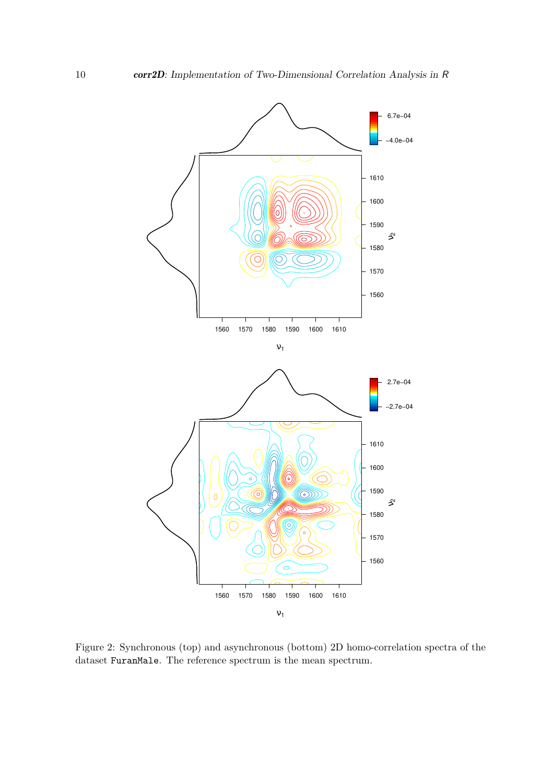

Figure 2: Synchronous (top) and asynchronous (bottom) 2D homo-correlation spectra of the dataset FuranMale. The reference spectrum is the mean spectrum.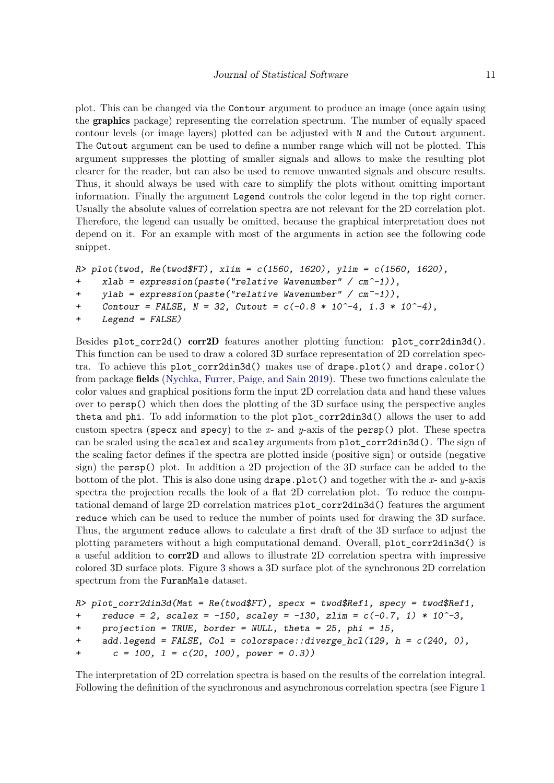plot. This can be changed via the Contour argument to produce an image (once again using the graphics package) representing the correlation spectrum. The number of equally spaced contour levels (or image layers) plotted can be adjusted with N and the Cutout argument. The Cutout argument can be used to define a number range which will not be plotted. This argument suppresses the plotting of smaller signals and allows to make the resulting plot clearer for the reader, but can also be used to remove unwanted signals and obscure results. Thus, it should always be used with care to simplify the plots without omitting important information. Finally the argument Legend controls the color legend in the top right corner. Usually the absolute values of correlation spectra are not relevant for the 2D correlation plot. Therefore, the legend can usually be omitted, because the graphical interpretation does not depend on it. For an example with most of the arguments in action see the following code snippet.

```
R> plot(twod, Re(twod$FT), xlim = c(1560, 1620), ylim = c(1560, 1620),
```

```
+ xlab = expression(paste("relative Wavenumber" / cm^-1)),
```

```
+ ylab = expression(paste("relative Wavenumber" / cm^-1)),
```

```
+ Contour = FALSE, N = 32, Cutout = c(-0.8 * 10^-4, 1.3 * 10^-4),
```

```
+ Legend = FALSE)
```
Besides plot  $corr2d()$  corr2D features another plotting function: plot  $corr2d$ in3d(). This function can be used to draw a colored 3D surface representation of 2D correlation spectra. To achieve this plot\_corr2din3d() makes use of drape.plot() and drape.color() from package fields (Nychka, Furrer, Paige, and Sain 2019). These two functions calculate the color values and graphical positions form the input 2D correlation data and hand these values over to persp() which then does the plotting of the 3D surface using the perspective angles theta and phi. To add information to the plot plot\_corr2din3d() allows the user to add custom spectra (specx and specy) to the *x*- and *y*-axis of the persp() plot. These spectra can be scaled using the scalex and scaley arguments from plot\_corr2din3d(). The sign of the scaling factor defines if the spectra are plotted inside (positive sign) or outside (negative sign) the persp() plot. In addition a 2D projection of the 3D surface can be added to the bottom of the plot. This is also done using drape.plot() and together with the *x*- and *y*-axis spectra the projection recalls the look of a flat 2D correlation plot. To reduce the computational demand of large 2D correlation matrices plot\_corr2din3d() features the argument reduce which can be used to reduce the number of points used for drawing the 3D surface. Thus, the argument reduce allows to calculate a first draft of the 3D surface to adjust the plotting parameters without a high computational demand. Overall, plot\_corr2din3d() is a useful addition to corr2D and allows to illustrate 2D correlation spectra with impressive colored 3D surface plots. Figure 3 shows a 3D surface plot of the synchronous 2D correlation spectrum from the FuranMale dataset.

```
R> plot_corr2din3d(Mat = Re(twod$FT), specx = twod$Ref1, specy = twod$Ref1,
    reduce = 2, scalar = -150, scalar = -130, zlim = c(-0.7, 1) * 10^{-3},
+ projection = TRUE, border = NULL, theta = 25, phi = 15,
+ add.legend = FALSE, Col = colorspace::diverge_hcl(129, h = c(240, 0),
+ c = 100, l = c(20, 100), power = 0.3))
```
The interpretation of 2D correlation spectra is based on the results of the correlation integral. Following the definition of the synchronous and asynchronous correlation spectra (see Figure 1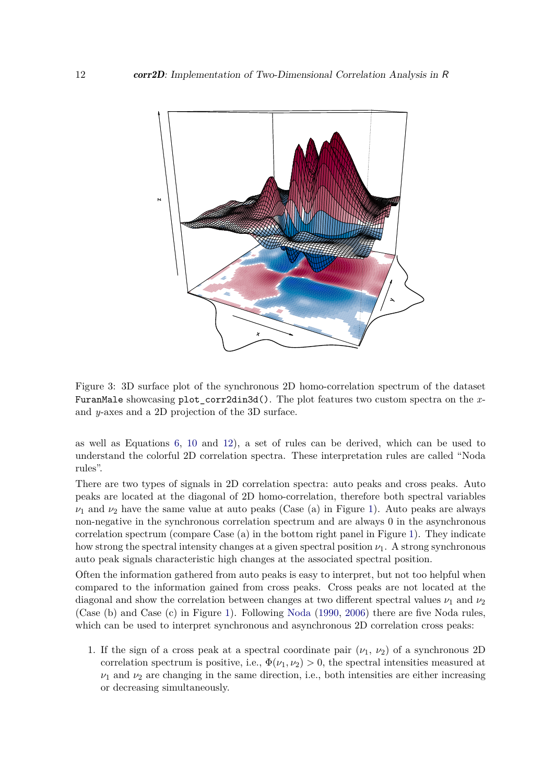

Figure 3: 3D surface plot of the synchronous 2D homo-correlation spectrum of the dataset FuranMale showcasing plot\_corr2din3d(). The plot features two custom spectra on the *x*and *y*-axes and a 2D projection of the 3D surface.

as well as Equations 6, 10 and 12), a set of rules can be derived, which can be used to understand the colorful 2D correlation spectra. These interpretation rules are called "Noda rules".

There are two types of signals in 2D correlation spectra: auto peaks and cross peaks. Auto peaks are located at the diagonal of 2D homo-correlation, therefore both spectral variables  $\nu_1$  and  $\nu_2$  have the same value at auto peaks (Case (a) in Figure 1). Auto peaks are always non-negative in the synchronous correlation spectrum and are always 0 in the asynchronous correlation spectrum (compare Case (a) in the bottom right panel in Figure 1). They indicate how strong the spectral intensity changes at a given spectral position  $\nu_1$ . A strong synchronous auto peak signals characteristic high changes at the associated spectral position.

Often the information gathered from auto peaks is easy to interpret, but not too helpful when compared to the information gained from cross peaks. Cross peaks are not located at the diagonal and show the correlation between changes at two different spectral values  $\nu_1$  and  $\nu_2$ (Case (b) and Case (c) in Figure 1). Following Noda (1990, 2006) there are five Noda rules, which can be used to interpret synchronous and asynchronous 2D correlation cross peaks:

1. If the sign of a cross peak at a spectral coordinate pair  $(\nu_1, \nu_2)$  of a synchronous 2D correlation spectrum is positive, i.e.,  $\Phi(\nu_1, \nu_2) > 0$ , the spectral intensities measured at  $\nu_1$  and  $\nu_2$  are changing in the same direction, i.e., both intensities are either increasing or decreasing simultaneously.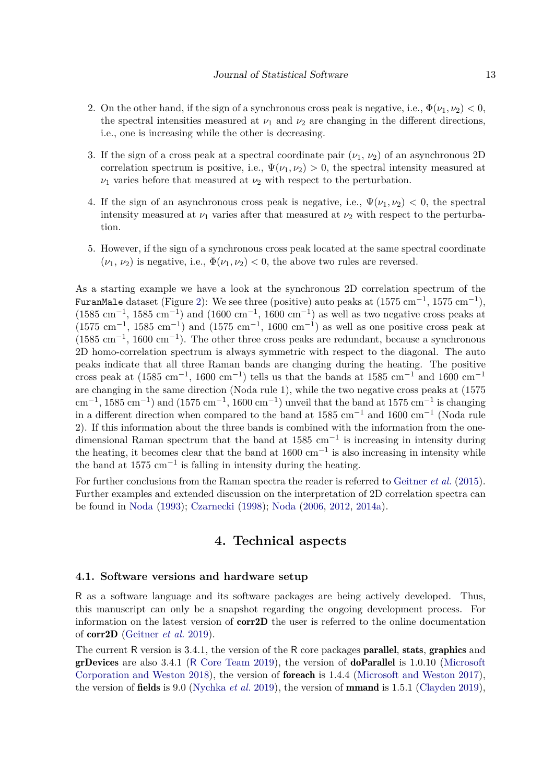- 2. On the other hand, if the sign of a synchronous cross peak is negative, i.e.,  $\Phi(\nu_1, \nu_2) < 0$ , the spectral intensities measured at  $\nu_1$  and  $\nu_2$  are changing in the different directions, i.e., one is increasing while the other is decreasing.
- 3. If the sign of a cross peak at a spectral coordinate pair  $(\nu_1, \nu_2)$  of an asynchronous 2D correlation spectrum is positive, i.e.,  $\Psi(\nu_1, \nu_2) > 0$ , the spectral intensity measured at  $\nu_1$  varies before that measured at  $\nu_2$  with respect to the perturbation.
- 4. If the sign of an asynchronous cross peak is negative, i.e.,  $\Psi(\nu_1, \nu_2) < 0$ , the spectral intensity measured at  $\nu_1$  varies after that measured at  $\nu_2$  with respect to the perturbation.
- 5. However, if the sign of a synchronous cross peak located at the same spectral coordinate  $(\nu_1, \nu_2)$  is negative, i.e.,  $\Phi(\nu_1, \nu_2) < 0$ , the above two rules are reversed.

As a starting example we have a look at the synchronous 2D correlation spectrum of the FuranMale dataset (Figure 2): We see three (positive) auto peaks at  $(1575 \text{ cm}^{-1}, 1575 \text{ cm}^{-1})$ ,  $(1585 \text{ cm}^{-1}, 1585 \text{ cm}^{-1})$  and  $(1600 \text{ cm}^{-1}, 1600 \text{ cm}^{-1})$  as well as two negative cross peaks at  $(1575 \text{ cm}^{-1}, 1585 \text{ cm}^{-1})$  and  $(1575 \text{ cm}^{-1}, 1600 \text{ cm}^{-1})$  as well as one positive cross peak at (1585 cm−<sup>1</sup> , 1600 cm−<sup>1</sup> ). The other three cross peaks are redundant, because a synchronous 2D homo-correlation spectrum is always symmetric with respect to the diagonal. The auto peaks indicate that all three Raman bands are changing during the heating. The positive cross peak at  $(1585 \text{ cm}^{-1}, 1600 \text{ cm}^{-1})$  tells us that the bands at 1585 cm<sup>-1</sup> and 1600 cm<sup>-1</sup> are changing in the same direction (Noda rule 1), while the two negative cross peaks at (1575  $\text{cm}^{-1}$ , 1585 cm<sup>-1</sup>) and (1575 cm<sup>-1</sup>, 1600 cm<sup>-1</sup>) unveil that the band at 1575 cm<sup>-1</sup> is changing in a different direction when compared to the band at 1585 cm−<sup>1</sup> and 1600 cm−<sup>1</sup> (Noda rule 2). If this information about the three bands is combined with the information from the onedimensional Raman spectrum that the band at  $1585 \text{ cm}^{-1}$  is increasing in intensity during the heating, it becomes clear that the band at  $1600 \text{ cm}^{-1}$  is also increasing in intensity while the band at  $1575 \text{ cm}^{-1}$  is falling in intensity during the heating.

For further conclusions from the Raman spectra the reader is referred to Geitner *et al.* (2015). Further examples and extended discussion on the interpretation of 2D correlation spectra can be found in Noda (1993); Czarnecki (1998); Noda (2006, 2012, 2014a).

# **4. Technical aspects**

#### **4.1. Software versions and hardware setup**

R as a software language and its software packages are being actively developed. Thus, this manuscript can only be a snapshot regarding the ongoing development process. For information on the latest version of corr2D the user is referred to the online documentation of corr2D (Geitner *et al.* 2019).

The current R version is 3.4.1, the version of the R core packages parallel, stats, graphics and grDevices are also 3.4.1 (R Core Team 2019), the version of doParallel is 1.0.10 (Microsoft Corporation and Weston 2018), the version of foreach is 1.4.4 (Microsoft and Weston 2017), the version of fields is 9.0 (Nychka *et al.* 2019), the version of mmand is 1.5.1 (Clayden 2019),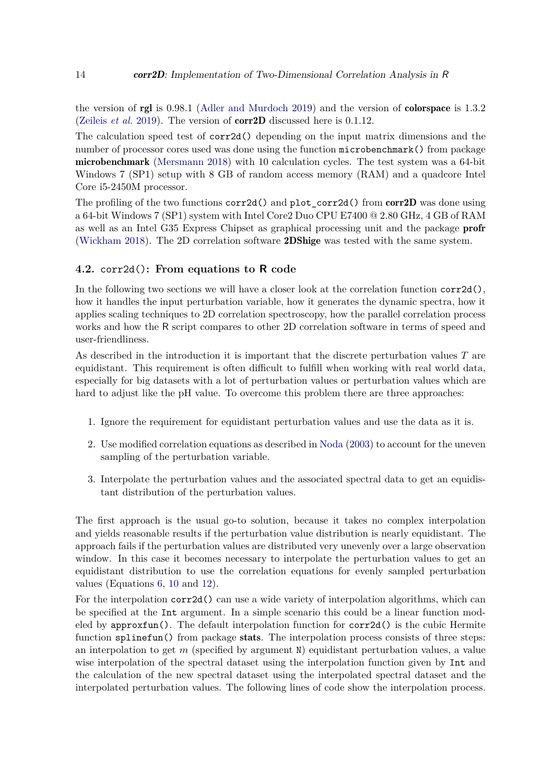the version of rgl is 0.98.1 (Adler and Murdoch 2019) and the version of colorspace is 1.3.2 (Zeileis *et al.* 2019). The version of corr2D discussed here is 0.1.12.

The calculation speed test of corr2d() depending on the input matrix dimensions and the number of processor cores used was done using the function microbenchmark() from package microbenchmark (Mersmann 2018) with 10 calculation cycles. The test system was a 64-bit Windows 7 (SP1) setup with 8 GB of random access memory (RAM) and a quadcore Intel Core i5-2450M processor.

The profiling of the two functions  $corr2d()$  and plot  $corr2d()$  from  $corr2D$  was done using a 64-bit Windows 7 (SP1) system with Intel Core2 Duo CPU E7400 @ 2.80 GHz, 4 GB of RAM as well as an Intel G35 Express Chipset as graphical processing unit and the package profr (Wickham 2018). The 2D correlation software 2DShige was tested with the same system.

#### **4.2.** corr2d()**: From equations to R code**

In the following two sections we will have a closer look at the correlation function  $corr2d()$ , how it handles the input perturbation variable, how it generates the dynamic spectra, how it applies scaling techniques to 2D correlation spectroscopy, how the parallel correlation process works and how the R script compares to other 2D correlation software in terms of speed and user-friendliness.

As described in the introduction it is important that the discrete perturbation values *T* are equidistant. This requirement is often difficult to fulfill when working with real world data, especially for big datasets with a lot of perturbation values or perturbation values which are hard to adjust like the pH value. To overcome this problem there are three approaches:

- 1. Ignore the requirement for equidistant perturbation values and use the data as it is.
- 2. Use modified correlation equations as described in Noda (2003) to account for the uneven sampling of the perturbation variable.
- 3. Interpolate the perturbation values and the associated spectral data to get an equidistant distribution of the perturbation values.

The first approach is the usual go-to solution, because it takes no complex interpolation and yields reasonable results if the perturbation value distribution is nearly equidistant. The approach fails if the perturbation values are distributed very unevenly over a large observation window. In this case it becomes necessary to interpolate the perturbation values to get an equidistant distribution to use the correlation equations for evenly sampled perturbation values (Equations 6, 10 and 12).

For the interpolation corr2d() can use a wide variety of interpolation algorithms, which can be specified at the Int argument. In a simple scenario this could be a linear function modeled by approxfun(). The default interpolation function for corr2d() is the cubic Hermite function splinefun() from package stats. The interpolation process consists of three steps: an interpolation to get *m* (specified by argument N) equidistant perturbation values, a value wise interpolation of the spectral dataset using the interpolation function given by Int and the calculation of the new spectral dataset using the interpolated spectral dataset and the interpolated perturbation values. The following lines of code show the interpolation process.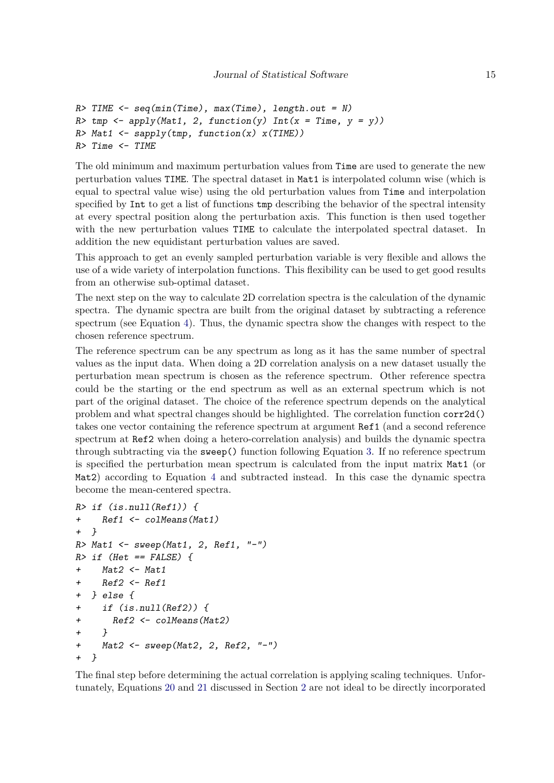```
R> TIME <- seq(min(Time), max(Time), length.out = N)
R tmp \leftarrow apply(Mat1, 2, function(y) Int(x = Time, y = y))R> Mat1 <- sapply(tmp, function(x) x(TIME))
R> Time <- TIME
```
The old minimum and maximum perturbation values from Time are used to generate the new perturbation values TIME. The spectral dataset in Mat1 is interpolated column wise (which is equal to spectral value wise) using the old perturbation values from Time and interpolation specified by Int to get a list of functions tmp describing the behavior of the spectral intensity at every spectral position along the perturbation axis. This function is then used together with the new perturbation values TIME to calculate the interpolated spectral dataset. In addition the new equidistant perturbation values are saved.

This approach to get an evenly sampled perturbation variable is very flexible and allows the use of a wide variety of interpolation functions. This flexibility can be used to get good results from an otherwise sub-optimal dataset.

The next step on the way to calculate 2D correlation spectra is the calculation of the dynamic spectra. The dynamic spectra are built from the original dataset by subtracting a reference spectrum (see Equation 4). Thus, the dynamic spectra show the changes with respect to the chosen reference spectrum.

The reference spectrum can be any spectrum as long as it has the same number of spectral values as the input data. When doing a 2D correlation analysis on a new dataset usually the perturbation mean spectrum is chosen as the reference spectrum. Other reference spectra could be the starting or the end spectrum as well as an external spectrum which is not part of the original dataset. The choice of the reference spectrum depends on the analytical problem and what spectral changes should be highlighted. The correlation function corr2d() takes one vector containing the reference spectrum at argument Ref1 (and a second reference spectrum at Ref2 when doing a hetero-correlation analysis) and builds the dynamic spectra through subtracting via the sweep() function following Equation 3. If no reference spectrum is specified the perturbation mean spectrum is calculated from the input matrix Mat1 (or Mat2) according to Equation 4 and subtracted instead. In this case the dynamic spectra become the mean-centered spectra.

```
R> if (is.null(Ref1)) {
+ Ref1 <- colMeans(Mat1)
+ }
R> Mat1 <- sweep(Mat1, 2, Ref1, "-")
R> if (Het == FALSE) {
+ Mat2 <- Mat1
+ Ref2 <- Ref1
+ } else {
+ if (is.null(Ref2)) {
+ Ref2 <- colMeans(Mat2)
+ }
+ Mat2 <- sweep(Mat2, 2, Ref2, "-")
  + }
```
The final step before determining the actual correlation is applying scaling techniques. Unfortunately, Equations 20 and 21 discussed in Section 2 are not ideal to be directly incorporated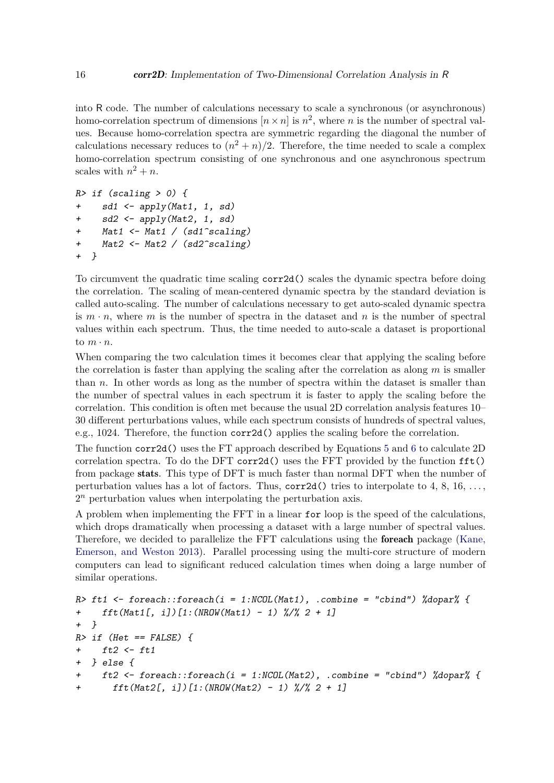into R code. The number of calculations necessary to scale a synchronous (or asynchronous) homo-correlation spectrum of dimensions  $[n \times n]$  is  $n^2$ , where *n* is the number of spectral values. Because homo-correlation spectra are symmetric regarding the diagonal the number of calculations necessary reduces to  $(n^2 + n)/2$ . Therefore, the time needed to scale a complex homo-correlation spectrum consisting of one synchronous and one asynchronous spectrum scales with  $n^2 + n$ .

```
R> if (scaling > 0) {
+ sd1 <- apply(Mat1, 1, sd)
+ sd2 <- apply(Mat2, 1, sd)
+ Mat1 <- Mat1 / (sd1^scaling)
+ Mat2 <- Mat2 / (sd2^scaling)
+ }
```
To circumvent the quadratic time scaling corr2d() scales the dynamic spectra before doing the correlation. The scaling of mean-centered dynamic spectra by the standard deviation is called auto-scaling. The number of calculations necessary to get auto-scaled dynamic spectra is  $m \cdot n$ , where  $m$  is the number of spectra in the dataset and  $n$  is the number of spectral values within each spectrum. Thus, the time needed to auto-scale a dataset is proportional to  $m \cdot n$ .

When comparing the two calculation times it becomes clear that applying the scaling before the correlation is faster than applying the scaling after the correlation as along *m* is smaller than *n*. In other words as long as the number of spectra within the dataset is smaller than the number of spectral values in each spectrum it is faster to apply the scaling before the correlation. This condition is often met because the usual 2D correlation analysis features 10– 30 different perturbations values, while each spectrum consists of hundreds of spectral values, e.g., 1024. Therefore, the function corr2d() applies the scaling before the correlation.

The function corr2d() uses the FT approach described by Equations 5 and 6 to calculate 2D correlation spectra. To do the DFT corr2d() uses the FFT provided by the function  $\text{fft}()$ from package stats. This type of DFT is much faster than normal DFT when the number of perturbation values has a lot of factors. Thus,  $corr2d()$  tries to interpolate to 4, 8, 16,  $\dots$ , 2 *<sup>n</sup>* perturbation values when interpolating the perturbation axis.

A problem when implementing the FFT in a linear for loop is the speed of the calculations, which drops dramatically when processing a dataset with a large number of spectral values. Therefore, we decided to parallelize the FFT calculations using the foreach package (Kane, Emerson, and Weston 2013). Parallel processing using the multi-core structure of modern computers can lead to significant reduced calculation times when doing a large number of similar operations.

```
R> ft1 <- foreach::foreach(i = 1:NCOL(Mat1), .combine = "cbind") %dopar% {
+ fft(Mat1[, i])[1:(NROW(Mat1) - 1) %/% 2 + 1]
+ }
R> if (Het == FALSE) {
+ ft2 <- ft1
+ } else {
+ ft2 <- foreach::foreach(i = 1:NCOL(Mat2), .combine = "cbind") %dopar% {
+ fft(Mat2[, i])[1:(NROW(Mat2) - 1) %/% 2 + 1]
```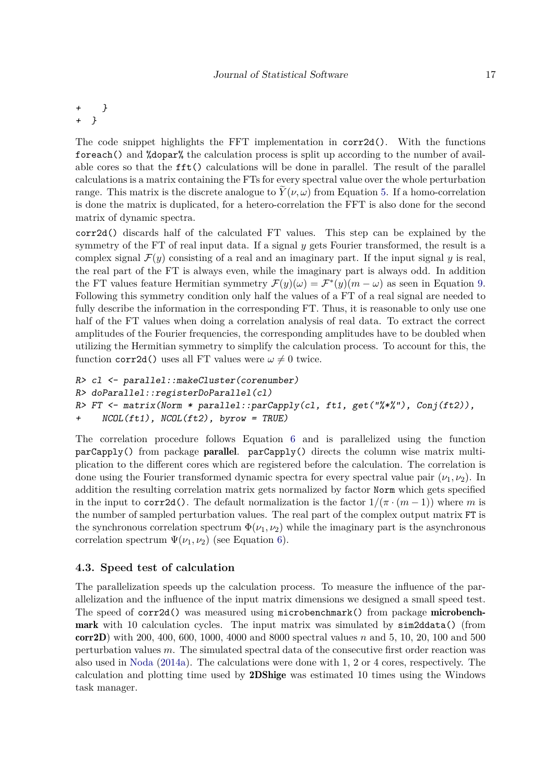*+ } + }*

The code snippet highlights the FFT implementation in corr2d(). With the functions foreach() and %dopar% the calculation process is split up according to the number of available cores so that the fft() calculations will be done in parallel. The result of the parallel calculations is a matrix containing the FTs for every spectral value over the whole perturbation range. This matrix is the discrete analogue to  $\tilde{Y}(\nu,\omega)$  from Equation 5. If a homo-correlation is done the matrix is duplicated, for a hetero-correlation the FFT is also done for the second matrix of dynamic spectra.

corr2d() discards half of the calculated FT values. This step can be explained by the symmetry of the FT of real input data. If a signal *y* gets Fourier transformed, the result is a complex signal  $\mathcal{F}(y)$  consisting of a real and an imaginary part. If the input signal *y* is real, the real part of the FT is always even, while the imaginary part is always odd. In addition the FT values feature Hermitian symmetry  $\mathcal{F}(y)(\omega) = \mathcal{F}^*(y)(m - \omega)$  as seen in Equation 9. Following this symmetry condition only half the values of a FT of a real signal are needed to fully describe the information in the corresponding FT. Thus, it is reasonable to only use one half of the FT values when doing a correlation analysis of real data. To extract the correct amplitudes of the Fourier frequencies, the corresponding amplitudes have to be doubled when utilizing the Hermitian symmetry to simplify the calculation process. To account for this, the function corr2d() uses all FT values were  $\omega \neq 0$  twice.

```
R> cl <- parallel::makeCluster(corenumber)
R> doParallel::registerDoParallel(cl)
R> FT <- matrix(Norm * parallel::parCapply(cl, ft1, get("%*%"), Conj(ft2)),
+ NCOL(ft1), NCOL(ft2), byrow = TRUE)
```
The correlation procedure follows Equation 6 and is parallelized using the function parCapply() from package parallel. parCapply() directs the column wise matrix multiplication to the different cores which are registered before the calculation. The correlation is done using the Fourier transformed dynamic spectra for every spectral value pair  $(\nu_1, \nu_2)$ . In addition the resulting correlation matrix gets normalized by factor Norm which gets specified in the input to corr2d(). The default normalization is the factor  $1/(\pi \cdot (m-1))$  where *m* is the number of sampled perturbation values. The real part of the complex output matrix FT is the synchronous correlation spectrum  $\Phi(\nu_1, \nu_2)$  while the imaginary part is the asynchronous correlation spectrum  $\Psi(\nu_1, \nu_2)$  (see Equation 6).

### **4.3. Speed test of calculation**

The parallelization speeds up the calculation process. To measure the influence of the parallelization and the influence of the input matrix dimensions we designed a small speed test. The speed of corr2d() was measured using microbenchmark() from package **microbench**mark with 10 calculation cycles. The input matrix was simulated by sim2ddata() (from corr2D) with 200, 400, 600, 1000, 4000 and 8000 spectral values *n* and 5, 10, 20, 100 and 500 perturbation values *m*. The simulated spectral data of the consecutive first order reaction was also used in Noda (2014a). The calculations were done with 1, 2 or 4 cores, respectively. The calculation and plotting time used by 2DShige was estimated 10 times using the Windows task manager.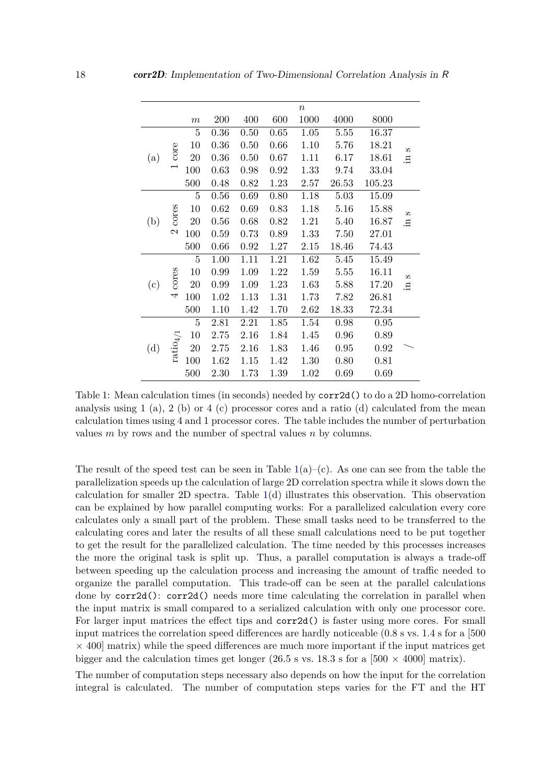|     |                        |                  |      |      |      | $\boldsymbol{n}$ |       |        |                |
|-----|------------------------|------------------|------|------|------|------------------|-------|--------|----------------|
|     |                        | $\boldsymbol{m}$ | 200  | 400  | 600  | 1000             | 4000  | 8000   |                |
| (a) | core                   | $\overline{5}$   | 0.36 | 0.50 | 0.65 | 1.05             | 5.55  | 16.37  | CO.<br>Ξ.      |
|     |                        | 10               | 0.36 | 0.50 | 0.66 | 1.10             | 5.76  | 18.21  |                |
|     |                        | 20               | 0.36 | 0.50 | 0.67 | 1.11             | 6.17  | 18.61  |                |
|     |                        | 100              | 0.63 | 0.98 | 0.92 | 1.33             | 9.74  | 33.04  |                |
|     |                        | 500              | 0.48 | 0.82 | 1.23 | 2.57             | 26.53 | 105.23 |                |
| (b) | cores<br>$\mathcal{C}$ | 5                | 0.56 | 0.69 | 0.80 | 1.18             | 5.03  | 15.09  | S<br>Ξ.        |
|     |                        | 10               | 0.62 | 0.69 | 0.83 | 1.18             | 5.16  | 15.88  |                |
|     |                        | 20               | 0.56 | 0.68 | 0.82 | 1.21             | 5.40  | 16.87  |                |
|     |                        | 100              | 0.59 | 0.73 | 0.89 | 1.33             | 7.50  | 27.01  |                |
|     |                        | 500              | 0.66 | 0.92 | 1.27 | 2.15             | 18.46 | 74.43  |                |
| (c) | cores<br>4             | 5                | 1.00 | 1.11 | 1.21 | 1.62             | 5.45  | 15.49  | $\Omega$<br>.드 |
|     |                        | 10               | 0.99 | 1.09 | 1.22 | 1.59             | 5.55  | 16.11  |                |
|     |                        | 20               | 0.99 | 1.09 | 1.23 | 1.63             | 5.88  | 17.20  |                |
|     |                        | 100              | 1.02 | 1.13 | 1.31 | 1.73             | 7.82  | 26.81  |                |
|     |                        | 500              | 1.10 | 1.42 | 1.70 | 2.62             | 18.33 | 72.34  |                |
| (d) | $ratio_{4/1}$          | 5                | 2.81 | 2.21 | 1.85 | 1.54             | 0.98  | 0.95   |                |
|     |                        | 10               | 2.75 | 2.16 | 1.84 | 1.45             | 0.96  | 0.89   |                |
|     |                        | 20               | 2.75 | 2.16 | 1.83 | 1.46             | 0.95  | 0.92   |                |
|     |                        | 100              | 1.62 | 1.15 | 1.42 | 1.30             | 0.80  | 0.81   |                |
|     |                        | 500              | 2.30 | 1.73 | 1.39 | 1.02             | 0.69  | 0.69   |                |

Table 1: Mean calculation times (in seconds) needed by corr2d() to do a 2D homo-correlation analysis using 1 (a), 2 (b) or 4 (c) processor cores and a ratio (d) calculated from the mean calculation times using 4 and 1 processor cores. The table includes the number of perturbation values *m* by rows and the number of spectral values *n* by columns.

The result of the speed test can be seen in Table  $1(a)$ –(c). As one can see from the table the parallelization speeds up the calculation of large 2D correlation spectra while it slows down the calculation for smaller 2D spectra. Table  $1(d)$  illustrates this observation. This observation can be explained by how parallel computing works: For a parallelized calculation every core calculates only a small part of the problem. These small tasks need to be transferred to the calculating cores and later the results of all these small calculations need to be put together to get the result for the parallelized calculation. The time needed by this processes increases the more the original task is split up. Thus, a parallel computation is always a trade-off between speeding up the calculation process and increasing the amount of traffic needed to organize the parallel computation. This trade-off can be seen at the parallel calculations done by corr2d(): corr2d() needs more time calculating the correlation in parallel when the input matrix is small compared to a serialized calculation with only one processor core. For larger input matrices the effect tips and corr2d() is faster using more cores. For small input matrices the correlation speed differences are hardly noticeable (0.8 s vs. 1.4 s for a [500  $\times$  400 matrix) while the speed differences are much more important if the input matrices get bigger and the calculation times get longer (26.5 s vs. 18.3 s for a [500  $\times$  4000] matrix).

The number of computation steps necessary also depends on how the input for the correlation integral is calculated. The number of computation steps varies for the FT and the HT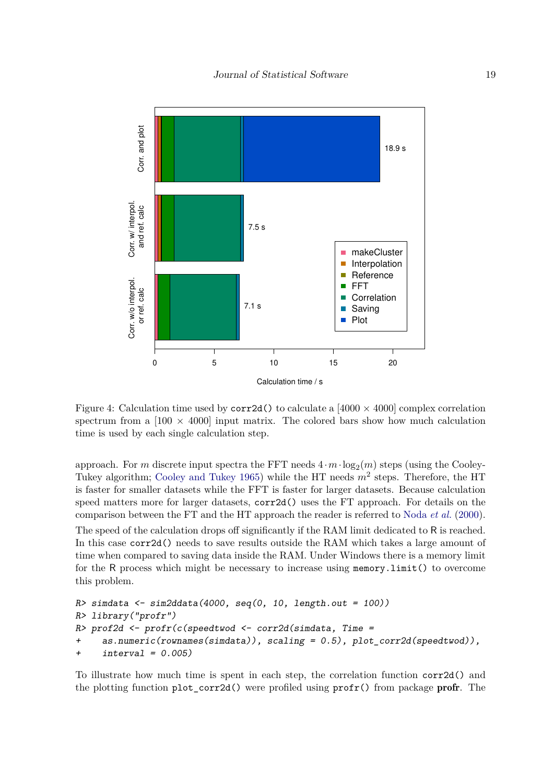

Figure 4: Calculation time used by  $\text{corr2d}()$  to calculate a [4000  $\times$  4000] complex correlation spectrum from a  $[100 \times 4000]$  input matrix. The colored bars show how much calculation time is used by each single calculation step.

approach. For *m* discrete input spectra the FFT needs  $4 \cdot m \cdot \log_2(m)$  steps (using the Cooley-Tukey algorithm; Cooley and Tukey 1965) while the HT needs *m*<sup>2</sup> steps. Therefore, the HT is faster for smaller datasets while the FFT is faster for larger datasets. Because calculation speed matters more for larger datasets, corr2d() uses the FT approach. For details on the comparison between the FT and the HT approach the reader is referred to Noda *et al.* (2000).

The speed of the calculation drops off significantly if the RAM limit dedicated to R is reached. In this case corr2d() needs to save results outside the RAM which takes a large amount of time when compared to saving data inside the RAM. Under Windows there is a memory limit for the R process which might be necessary to increase using memory.limit() to overcome this problem.

```
R> simdata <- sim2ddata(4000, seq(0, 10, length.out = 100))
R> library("profr")
R> prof2d <- profr(c(speedtwod <- corr2d(simdata, Time =
+ as.numeric(rownames(simdata)), scaling = 0.5), plot_corr2d(speedtwod)),
+ interval = 0.005)
```
To illustrate how much time is spent in each step, the correlation function corr2d() and the plotting function  $plot_{corr2d}()$  were profiled using  $profit()$  from package profr. The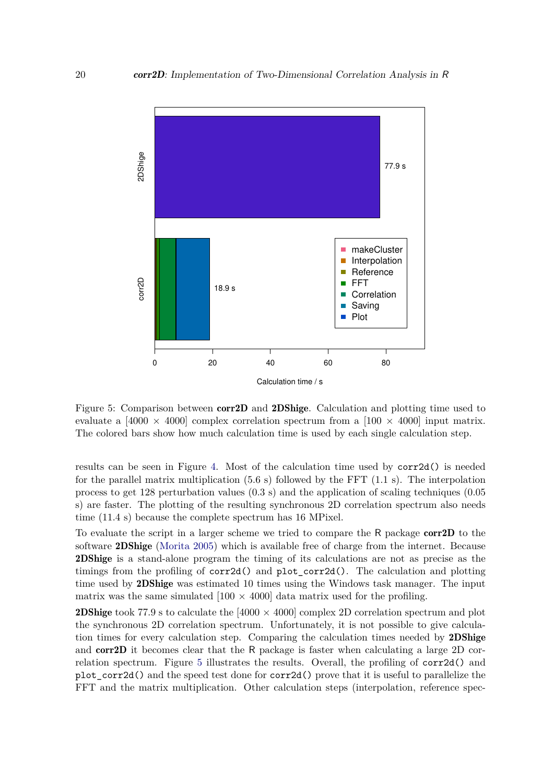

Figure 5: Comparison between corr2D and 2DShige. Calculation and plotting time used to evaluate a [4000  $\times$  4000] complex correlation spectrum from a [100  $\times$  4000] input matrix. The colored bars show how much calculation time is used by each single calculation step.

results can be seen in Figure 4. Most of the calculation time used by corr2d() is needed for the parallel matrix multiplication  $(5.6 \text{ s})$  followed by the FFT  $(1.1 \text{ s})$ . The interpolation process to get 128 perturbation values (0.3 s) and the application of scaling techniques (0.05 s) are faster. The plotting of the resulting synchronous 2D correlation spectrum also needs time (11.4 s) because the complete spectrum has 16 MPixel.

To evaluate the script in a larger scheme we tried to compare the R package corr2D to the software 2DShige (Morita 2005) which is available free of charge from the internet. Because 2DShige is a stand-alone program the timing of its calculations are not as precise as the timings from the profiling of corr2d() and plot\_corr2d(). The calculation and plotting time used by 2DShige was estimated 10 times using the Windows task manager. The input matrix was the same simulated  $(100 \times 4000)$  data matrix used for the profiling.

**2DShige** took 77.9 s to calculate the  $[4000 \times 4000]$  complex 2D correlation spectrum and plot the synchronous 2D correlation spectrum. Unfortunately, it is not possible to give calculation times for every calculation step. Comparing the calculation times needed by 2DShige and corr2D it becomes clear that the R package is faster when calculating a large 2D correlation spectrum. Figure 5 illustrates the results. Overall, the profiling of corr2d() and plot\_corr2d() and the speed test done for corr2d() prove that it is useful to parallelize the FFT and the matrix multiplication. Other calculation steps (interpolation, reference spec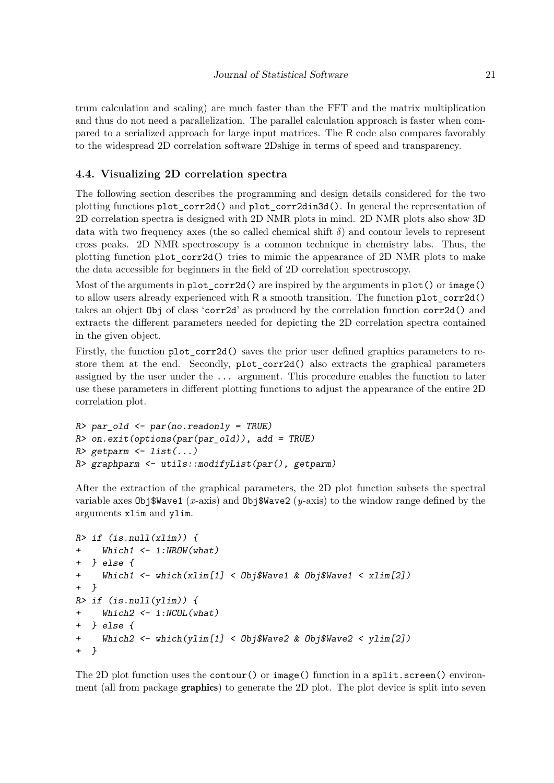trum calculation and scaling) are much faster than the FFT and the matrix multiplication and thus do not need a parallelization. The parallel calculation approach is faster when compared to a serialized approach for large input matrices. The R code also compares favorably to the widespread 2D correlation software 2Dshige in terms of speed and transparency.

# **4.4. Visualizing 2D correlation spectra**

The following section describes the programming and design details considered for the two plotting functions plot\_corr2d() and plot\_corr2din3d(). In general the representation of 2D correlation spectra is designed with 2D NMR plots in mind. 2D NMR plots also show 3D data with two frequency axes (the so called chemical shift  $\delta$ ) and contour levels to represent cross peaks. 2D NMR spectroscopy is a common technique in chemistry labs. Thus, the plotting function plot\_corr2d() tries to mimic the appearance of 2D NMR plots to make the data accessible for beginners in the field of 2D correlation spectroscopy.

Most of the arguments in plot\_corr2d() are inspired by the arguments in plot() or image() to allow users already experienced with R a smooth transition. The function plot\_corr2d() takes an object Obj of class 'corr2d' as produced by the correlation function corr2d() and extracts the different parameters needed for depicting the 2D correlation spectra contained in the given object.

Firstly, the function plot corr2d() saves the prior user defined graphics parameters to restore them at the end. Secondly, plot\_corr2d() also extracts the graphical parameters assigned by the user under the ... argument. This procedure enables the function to later use these parameters in different plotting functions to adjust the appearance of the entire 2D correlation plot.

```
R> par_old <- par(no.readonly = TRUE)
R> on.exit(options(par(par_old)), add = TRUE)
R> getparm <- list(...)
R> graphparm <- utils::modifyList(par(), getparm)
```
After the extraction of the graphical parameters, the 2D plot function subsets the spectral variable axes Obj\$Wave1 (*x*-axis) and Obj\$Wave2 (*y*-axis) to the window range defined by the arguments xlim and ylim.

```
R> if (is.null(xlim)) {
+ Which1 <- 1:NROW(what)
 + } else {
+ Which1 <- which(xlim[1] < Obj$Wave1 & Obj$Wave1 < xlim[2])
+ }
R> if (is.null(ylim)) {
+ Which2 <- 1:NCOL(what)
+ } else {
+ Which2 <- which(ylim[1] < Obj$Wave2 & Obj$Wave2 < ylim[2])
+ }
```
The 2D plot function uses the contour() or image() function in a split.screen() environment (all from package graphics) to generate the 2D plot. The plot device is split into seven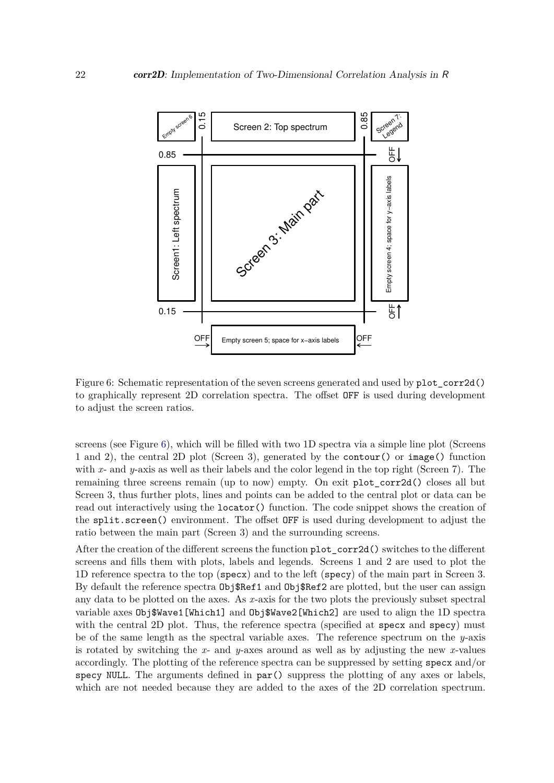

Figure 6: Schematic representation of the seven screens generated and used by plot\_corr2d() to graphically represent 2D correlation spectra. The offset OFF is used during development to adjust the screen ratios.

screens (see Figure 6), which will be filled with two 1D spectra via a simple line plot (Screens 1 and 2), the central 2D plot (Screen 3), generated by the contour() or image() function with *x*- and *y*-axis as well as their labels and the color legend in the top right (Screen 7). The remaining three screens remain (up to now) empty. On exit plot corr2d() closes all but Screen 3, thus further plots, lines and points can be added to the central plot or data can be read out interactively using the locator() function. The code snippet shows the creation of the split.screen() environment. The offset OFF is used during development to adjust the ratio between the main part (Screen 3) and the surrounding screens.

After the creation of the different screens the function plot corr2d() switches to the different screens and fills them with plots, labels and legends. Screens 1 and 2 are used to plot the 1D reference spectra to the top (specx) and to the left (specy) of the main part in Screen 3. By default the reference spectra  $\text{Obj}\$ Ref1 and  $\text{Obj}\$ Ref2 are plotted, but the user can assign any data to be plotted on the axes. As *x*-axis for the two plots the previously subset spectral variable axes Obj\$Wave1[Which1] and Obj\$Wave2[Which2] are used to align the 1D spectra with the central 2D plot. Thus, the reference spectra (specified at specx and specy) must be of the same length as the spectral variable axes. The reference spectrum on the *y*-axis is rotated by switching the *x*- and *y*-axes around as well as by adjusting the new *x*-values accordingly. The plotting of the reference spectra can be suppressed by setting specx and/or specy NULL. The arguments defined in  $par()$  suppress the plotting of any axes or labels, which are not needed because they are added to the axes of the 2D correlation spectrum.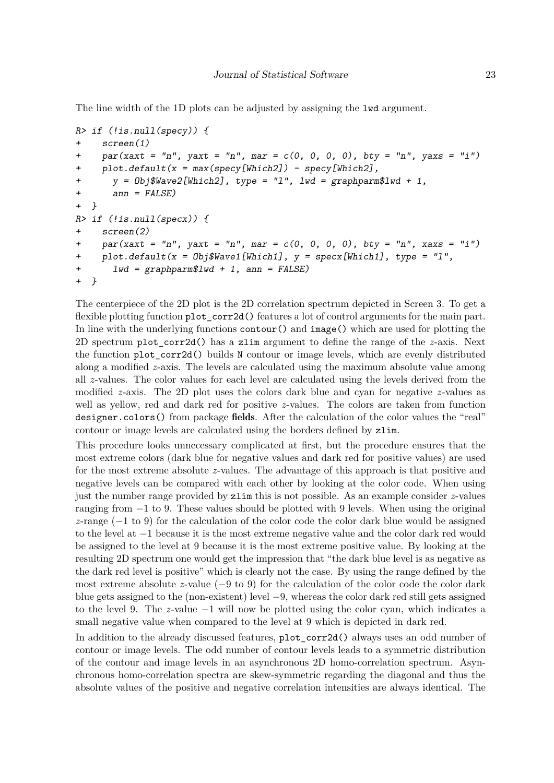The line width of the 1D plots can be adjusted by assigning the lwd argument.

```
R> if (!is.null(specy)) {
+ screen(1)
+ par(xaxt = "n", yaxt = "n", mar = c(0, 0, 0, 0), bty = "n", yaxs = "i")
+ plot.default(x = max(specy[Which2]) - specy[Which2],
+ y = Obj$Wave2[Which2], type = "l", lwd = graphparm$lwd + 1,
+ ann = FALSE)
+ }
R> if (!is.null(specx)) {
+ screen(2)
+ par(xaxt = "n", yaxt = "n", mar = c(0, 0, 0, 0), bty = "n", xaxs = "i")
+ plot.default(x = Obj$Wave1[Which1], y = specx[Which1], type = "l",
+ lwd = graphparm$lwd + 1, ann = FALSE)
+ }
```
The centerpiece of the 2D plot is the 2D correlation spectrum depicted in Screen 3. To get a flexible plotting function plot\_corr2d() features a lot of control arguments for the main part. In line with the underlying functions contour() and image() which are used for plotting the 2D spectrum plot\_corr2d() has a zlim argument to define the range of the *z*-axis. Next the function plot corr2d() builds N contour or image levels, which are evenly distributed along a modified *z*-axis. The levels are calculated using the maximum absolute value among all *z*-values. The color values for each level are calculated using the levels derived from the modified *z*-axis. The 2D plot uses the colors dark blue and cyan for negative *z*-values as well as yellow, red and dark red for positive *z*-values. The colors are taken from function designer.colors() from package fields. After the calculation of the color values the "real" contour or image levels are calculated using the borders defined by zlim.

This procedure looks unnecessary complicated at first, but the procedure ensures that the most extreme colors (dark blue for negative values and dark red for positive values) are used for the most extreme absolute *z*-values. The advantage of this approach is that positive and negative levels can be compared with each other by looking at the color code. When using just the number range provided by zlim this is not possible. As an example consider *z*-values ranging from −1 to 9. These values should be plotted with 9 levels. When using the original *z*-range (−1 to 9) for the calculation of the color code the color dark blue would be assigned to the level at −1 because it is the most extreme negative value and the color dark red would be assigned to the level at 9 because it is the most extreme positive value. By looking at the resulting 2D spectrum one would get the impression that "the dark blue level is as negative as the dark red level is positive" which is clearly not the case. By using the range defined by the most extreme absolute *z*-value (−9 to 9) for the calculation of the color code the color dark blue gets assigned to the (non-existent) level −9, whereas the color dark red still gets assigned to the level 9. The *z*-value −1 will now be plotted using the color cyan, which indicates a small negative value when compared to the level at 9 which is depicted in dark red.

In addition to the already discussed features, plot\_corr2d() always uses an odd number of contour or image levels. The odd number of contour levels leads to a symmetric distribution of the contour and image levels in an asynchronous 2D homo-correlation spectrum. Asynchronous homo-correlation spectra are skew-symmetric regarding the diagonal and thus the absolute values of the positive and negative correlation intensities are always identical. The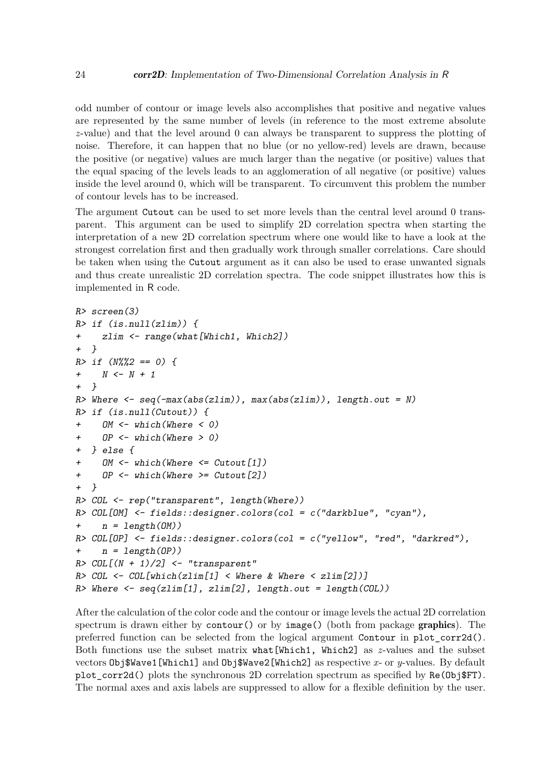odd number of contour or image levels also accomplishes that positive and negative values are represented by the same number of levels (in reference to the most extreme absolute *z*-value) and that the level around 0 can always be transparent to suppress the plotting of noise. Therefore, it can happen that no blue (or no yellow-red) levels are drawn, because the positive (or negative) values are much larger than the negative (or positive) values that the equal spacing of the levels leads to an agglomeration of all negative (or positive) values inside the level around 0, which will be transparent. To circumvent this problem the number of contour levels has to be increased.

The argument Cutout can be used to set more levels than the central level around 0 transparent. This argument can be used to simplify 2D correlation spectra when starting the interpretation of a new 2D correlation spectrum where one would like to have a look at the strongest correlation first and then gradually work through smaller correlations. Care should be taken when using the Cutout argument as it can also be used to erase unwanted signals and thus create unrealistic 2D correlation spectra. The code snippet illustrates how this is implemented in R code.

```
R> screen(3)
R> if (is.null(zlim)) {
+ zlim <- range(what[Which1, Which2])
+ }
R> if (N%%2 == 0) {
+ N <- N + 1
+ }
R> Where <- seq(-max(abs(zlim)), max(abs(zlim)), length.out = N)
R> if (is.null(Cutout)) {
+ OM <- which(Where < 0)
    + OP <- which(Where > 0)
+ } else {
    + OM <- which(Where <= Cutout[1])
+ OP <- which(Where >= Cutout[2])
+ }
R> COL <- rep("transparent", length(Where))
R> COL[OM] <- fields::designer.colors(col = c("darkblue", "cyan"),
+ n = length(OM))
R> COL[OP] <- fields::designer.colors(col = c("yellow", "red", "darkred"),
+ n = length(OP))
R> COL[(N + 1)/2] <- "transparent"
R> COL <- COL[which(zlim[1] < Where & Where < zlim[2])]
R> Where <- seq(zlim[1], zlim[2], length.out = length(COL))
```
After the calculation of the color code and the contour or image levels the actual 2D correlation spectrum is drawn either by contour() or by image() (both from package graphics). The preferred function can be selected from the logical argument Contour in plot\_corr2d(). Both functions use the subset matrix what[Which1, Which2] as *z*-values and the subset vectors Obj\$Wave1[Which1] and Obj\$Wave2[Which2] as respective *x*- or *y*-values. By default plot\_corr2d() plots the synchronous 2D correlation spectrum as specified by  $Re(Db)$   $FT$ ). The normal axes and axis labels are suppressed to allow for a flexible definition by the user.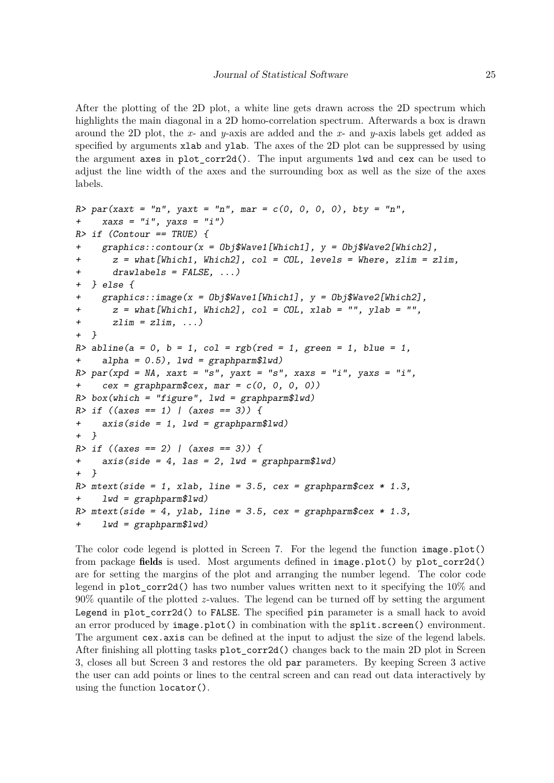After the plotting of the 2D plot, a white line gets drawn across the 2D spectrum which highlights the main diagonal in a 2D homo-correlation spectrum. Afterwards a box is drawn around the 2D plot, the *x*- and *y*-axis are added and the *x*- and *y*-axis labels get added as specified by arguments xlab and ylab. The axes of the 2D plot can be suppressed by using the argument axes in plot  $corr2d()$ . The input arguments lwd and cex can be used to adjust the line width of the axes and the surrounding box as well as the size of the axes labels.

```
R> par(xaxt = "n", yaxt = "n", mar = c(0, 0, 0, 0), bty = "n",
+ xaxs = "i", yaxs = "i")
R> if (Contour == TRUE) {
+ graphics::contour(x = Obj$Wave1[Which1], y = Obj$Wave2[Which2],
+ z = what[Which1, Which2], col = COL, levels = Where, zlim = zlim,
+ drawlabels = FALSE, ...)
+ } else {
    + graphics::image(x = Obj$Wave1[Which1], y = Obj$Wave2[Which2],
+ z = what[Which1, Which2], col = COL, xlab = "", ylab = "",
+ zlim = zlim, ...)
+ }
R> abline(a = 0, b = 1, col = rgb(red = 1, green = 1, blue = 1,
+ alpha = 0.5), lwd = graphparm$lwd)
R> par(xpd = NA, xaxt = "s", yaxt = "s", xaxs = "i", yaxs = "i",
    cex = graphparam$cex, mar = c(0, 0, 0, 0)R> box(which = "figure", lwd = graphparm$lwd)
R> if ((axes == 1) | (axes == 3)) {
+ axis(side = 1, lwd = graphparm$lwd)
+ }
R> if ((axes == 2) | (axes == 3)) {
+ axis(side = 4, las = 2, lwd = graphparm$lwd)
+ }
R> mtext(side = 1, xlab, line = 3.5, cex = graphparm$cex * 1.3,
+ lwd = graphparm$lwd)
R> mtext(side = 4, ylab, line = 3.5, cex = graphparm$cex * 1.3,
+ lwd = graphparm$lwd)
```
The color code legend is plotted in Screen 7. For the legend the function image.plot() from package fields is used. Most arguments defined in image.plot() by plot\_corr2d() are for setting the margins of the plot and arranging the number legend. The color code legend in plot corr2d() has two number values written next to it specifying the  $10\%$  and 90% quantile of the plotted *z*-values. The legend can be turned off by setting the argument Legend in plot\_corr2d() to FALSE. The specified pin parameter is a small hack to avoid an error produced by image.plot() in combination with the split.screen() environment. The argument cex.axis can be defined at the input to adjust the size of the legend labels. After finishing all plotting tasks plot\_corr2d() changes back to the main 2D plot in Screen 3, closes all but Screen 3 and restores the old par parameters. By keeping Screen 3 active the user can add points or lines to the central screen and can read out data interactively by using the function locator().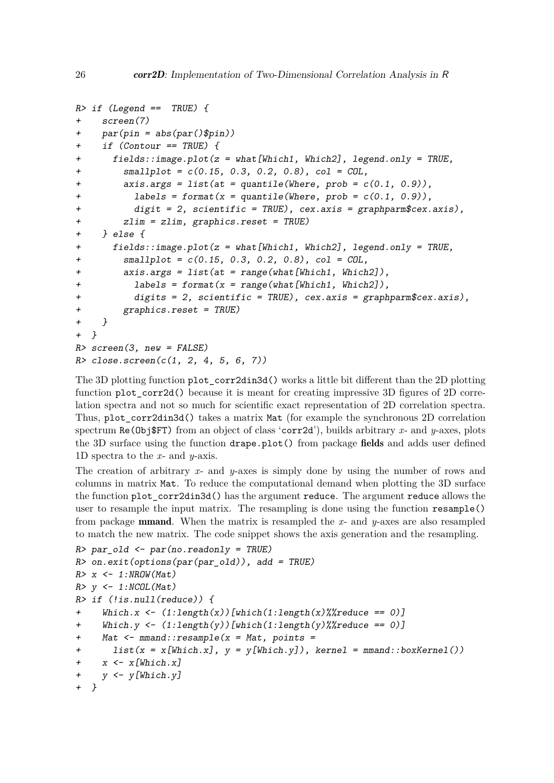```
R> if (Legend == TRUE) {
+ screen(7)
+ par(pin = abs(par()$pin))
    + if (Contour == TRUE) {
+ fields::image.plot(z = what[Which1, Which2], legend.only = TRUE,
+ smallplot = c(0.15, 0.3, 0.2, 0.8), col = COL,
+ axis.args = list(at = quantile(Where, prob = c(0.1, 0.9)),
+ labels = format(x = quantile(Where, prob = c(0.1, 0.9)),
          + digit = 2, scientific = TRUE), cex.axis = graphparm$cex.axis),
+ zlim = zlim, graphics.reset = TRUE)
+ } else {
+ fields::image.plot(z = what[Which1, Which2], legend.only = TRUE,
+ smallplot = c(0.15, 0.3, 0.2, 0.8), col = COL,
+ axis.args = list(at = range(what[Which1, Which2]),
+ labels = format(x = range(what[Which1, Which2]),
+ digits = 2, scientific = TRUE), cex.axis = graphparm$cex.axis),
+ graphics.reset = TRUE)
+ }
+ }
R> screen(3, new = FALSE)
R> close.screen(c(1, 2, 4, 5, 6, 7))
```
The 3D plotting function plot\_corr2din3d() works a little bit different than the 2D plotting function plot\_corr2d() because it is meant for creating impressive 3D figures of 2D correlation spectra and not so much for scientific exact representation of 2D correlation spectra. Thus, plot\_corr2din3d() takes a matrix Mat (for example the synchronous 2D correlation spectrum Re(Obj\$FT) from an object of class 'corr2d'), builds arbitrary *x*- and *y*-axes, plots the 3D surface using the function drape.plot() from package fields and adds user defined 1D spectra to the *x*- and *y*-axis.

The creation of arbitrary *x*- and *y*-axes is simply done by using the number of rows and columns in matrix Mat. To reduce the computational demand when plotting the 3D surface the function plot corr2din3d() has the argument reduce. The argument reduce allows the user to resample the input matrix. The resampling is done using the function resample() from package mmand. When the matrix is resampled the *x*- and *y*-axes are also resampled to match the new matrix. The code snippet shows the axis generation and the resampling.

```
R> par_old <- par(no.readonly = TRUE)
R> on.exit(options(par(par_old)), add = TRUE)
R> x <- 1:NROW(Mat)
R> y <- 1:NCOL(Mat)
R> if (!is.null(reduce)) {
+ Which.x <- (1:length(x))[which(1:length(x)%%reduce == 0)]
     + Which.y <- (1:length(y))[which(1:length(y)%%reduce == 0)]
+ Mat <- mmand::resample(x = Mat, points =
       list(x = x[Which.x], y = y[Which.y]), kernel = mmand::boxKernel())+ x <- x[Which.x]
    + y <- y[Which.y]
  + }
```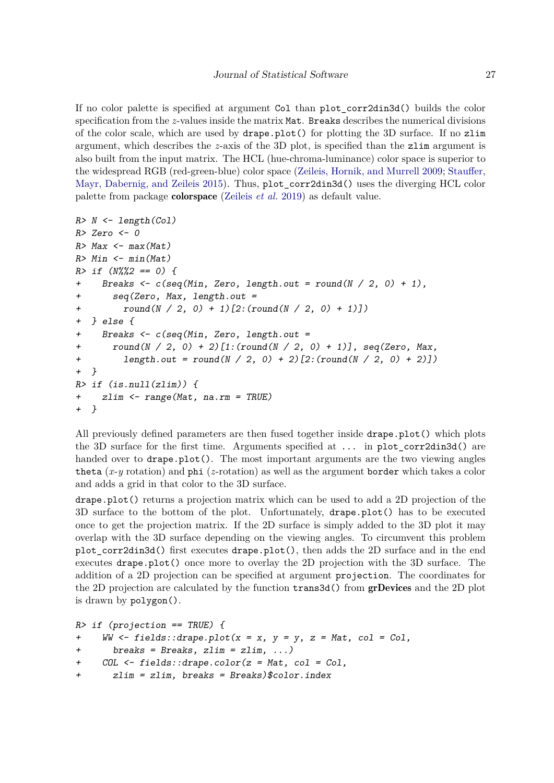If no color palette is specified at argument Col than plot\_corr2din3d() builds the color specification from the *z*-values inside the matrix Mat. Breaks describes the numerical divisions of the color scale, which are used by drape.plot() for plotting the 3D surface. If no zlim argument, which describes the *z*-axis of the 3D plot, is specified than the zlim argument is also built from the input matrix. The HCL (hue-chroma-luminance) color space is superior to the widespread RGB (red-green-blue) color space (Zeileis, Hornik, and Murrell 2009; Stauffer, Mayr, Dabernig, and Zeileis 2015). Thus, plot corr2din3d() uses the diverging HCL color palette from package colorspace (Zeileis *et al.* 2019) as default value.

```
R> N <- length(Col)
R> Zero <- 0
R> Max <- max(Mat)
R> Min <- min(Mat)
R> if (N%%2 == 0) {
+ Breaks <- c(seq(Min, Zero, length.out = round(N / 2, 0) + 1),
+ seq(Zero, Max, length.out =
+ round(N / 2, 0) + 1)[2:(round(N / 2, 0) + 1)])
+ } else {
+ Breaks <- c(seq(Min, Zero, length.out =
+ round(N / 2, 0) + 2)[1:(round(N / 2, 0) + 1)], seq(Zero, Max,
+ length.out = round(N / 2, 0) + 2)[2:(round(N / 2, 0) + 2)])
+ }
R> if (is.null(zlim)) {
+ zlim <- range(Mat, na.rm = TRUE)
+ }
```
All previously defined parameters are then fused together inside drape.plot() which plots the 3D surface for the first time. Arguments specified at ... in plot\_corr2din3d() are handed over to drape.plot(). The most important arguments are the two viewing angles theta (*x*-*y* rotation) and phi (*z*-rotation) as well as the argument border which takes a color and adds a grid in that color to the 3D surface.

drape.plot() returns a projection matrix which can be used to add a 2D projection of the 3D surface to the bottom of the plot. Unfortunately, drape.plot() has to be executed once to get the projection matrix. If the 2D surface is simply added to the 3D plot it may overlap with the 3D surface depending on the viewing angles. To circumvent this problem plot\_corr2din3d() first executes drape.plot(), then adds the 2D surface and in the end executes drape.plot() once more to overlay the 2D projection with the 3D surface. The addition of a 2D projection can be specified at argument projection. The coordinates for the 2D projection are calculated by the function trans3d() from grDevices and the 2D plot is drawn by polygon().

```
R> if (projection == TRUE) {
+ WW <- fields::drape.plot(x = x, y = y, z = Mat, col = Col,
+ breaks = Breaks, zlim = zlim, ...)
+ COL <- fields::drape.color(z = Mat, col = Col,
+ zlim = zlim, breaks = Breaks)$color.index
```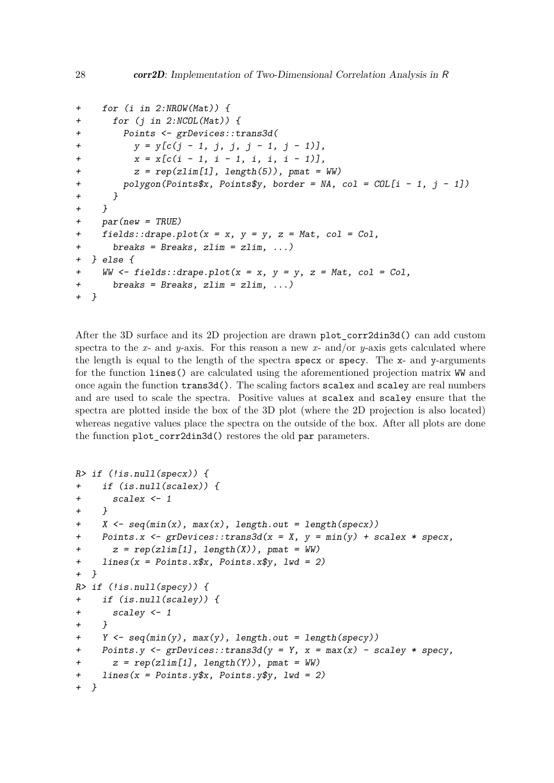```
+ for (i in 2:NROW(Mat)) {
+ for (j in 2:NCOL(Mat)) {
+ Points <- grDevices::trans3d(
         + y = y[c(j - 1, j, j, j - 1, j - 1)],
+ x = x[c(i - 1, i - 1, i, i, i - 1)],
+ z = rep(zlim[1], length(5)), pmat = WW)
+ polygon(Points$x, Points$y, border = NA, col = COL[i - 1, j - 1])
+ }
+ }
+ par(new = TRUE)
+ fields::drape.plot(x = x, y = y, z = Mat, col = Col,
+ breaks = Breaks, zlim = zlim, ...)
+ } else {
+ WW <- fields::drape.plot(x = x, y = y, z = Mat, col = Col,
+ breaks = Breaks, zlim = zlim, ...)
+ }
```
After the 3D surface and its 2D projection are drawn plot\_corr2din3d() can add custom spectra to the  $x$ - and  $y$ -axis. For this reason a new  $x$ - and/or  $y$ -axis gets calculated where the length is equal to the length of the spectra specx or specy. The x- and y-arguments for the function lines() are calculated using the aforementioned projection matrix WW and once again the function trans3d(). The scaling factors scalex and scaley are real numbers and are used to scale the spectra. Positive values at scalex and scaley ensure that the spectra are plotted inside the box of the 3D plot (where the 2D projection is also located) whereas negative values place the spectra on the outside of the box. After all plots are done the function plot\_corr2din3d() restores the old par parameters.

```
R> if (!is.null(specx)) {
+ if (is.null(scalex)) {
+ scalex <- 1
    + }
+ X <- seq(min(x), max(x), length.out = length(specx))
+ Points.x <- grDevices::trans3d(x = X, y = min(y) + scalex * specx,
+ z = rep(zlim[1], length(X)), pmat = WW)
+ lines(x = Points.x$x, Points.x$y, lwd = 2)
+ }
R> if (!is.null(specy)) {
+ if (is.null(scaley)) {
+ scaley <- 1
+ }
+ Y <- seq(min(y), max(y), length.out = length(specy))
+ Points.y <- grDevices::trans3d(y = Y, x = max(x) - scaley * specy,
+ z = rep(zlim[1], length(Y)), pmat = WW)
+ lines(x = Points.y$x, Points.y$y, lwd = 2)
+ }
```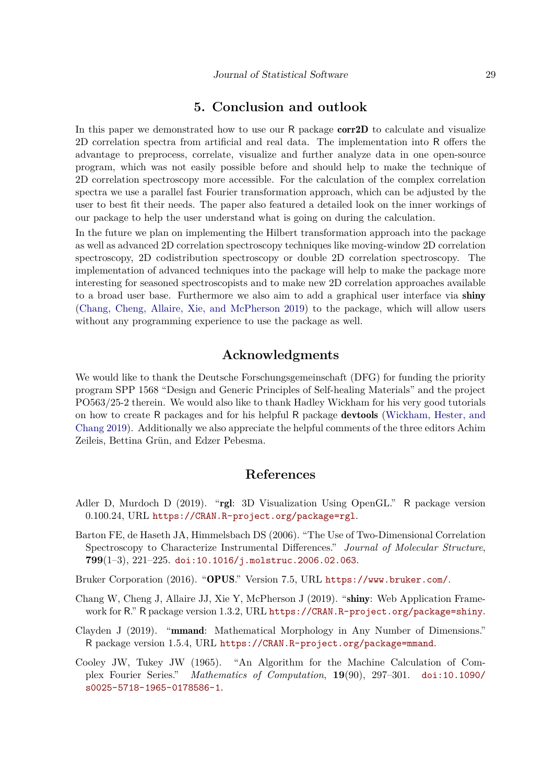# **5. Conclusion and outlook**

In this paper we demonstrated how to use our R package **corr2D** to calculate and visualize 2D correlation spectra from artificial and real data. The implementation into R offers the advantage to preprocess, correlate, visualize and further analyze data in one open-source program, which was not easily possible before and should help to make the technique of 2D correlation spectroscopy more accessible. For the calculation of the complex correlation spectra we use a parallel fast Fourier transformation approach, which can be adjusted by the user to best fit their needs. The paper also featured a detailed look on the inner workings of our package to help the user understand what is going on during the calculation.

In the future we plan on implementing the Hilbert transformation approach into the package as well as advanced 2D correlation spectroscopy techniques like moving-window 2D correlation spectroscopy, 2D codistribution spectroscopy or double 2D correlation spectroscopy. The implementation of advanced techniques into the package will help to make the package more interesting for seasoned spectroscopists and to make new 2D correlation approaches available to a broad user base. Furthermore we also aim to add a graphical user interface via shiny (Chang, Cheng, Allaire, Xie, and McPherson 2019) to the package, which will allow users without any programming experience to use the package as well.

# **Acknowledgments**

We would like to thank the Deutsche Forschungsgemeinschaft (DFG) for funding the priority program SPP 1568 "Design and Generic Principles of Self-healing Materials" and the project PO563/25-2 therein. We would also like to thank Hadley Wickham for his very good tutorials on how to create R packages and for his helpful R package devtools (Wickham, Hester, and Chang 2019). Additionally we also appreciate the helpful comments of the three editors Achim Zeileis, Bettina Grün, and Edzer Pebesma.

# **References**

- Adler D, Murdoch D (2019). "rgl: 3D Visualization Using OpenGL." R package version 0.100.24, URL https://CRAN.R-project.org/package=rgl.
- Barton FE, de Haseth JA, Himmelsbach DS (2006). "The Use of Two-Dimensional Correlation Spectroscopy to Characterize Instrumental Differences." *Journal of Molecular Structure*, **799**(1–3), 221–225. doi:10.1016/j.molstruc.2006.02.063.
- Bruker Corporation (2016). "OPUS." Version 7.5, URL https://www.bruker.com/.
- Chang W, Cheng J, Allaire JJ, Xie Y, McPherson J (2019). "shiny: Web Application Framework for R." R package version 1.3.2, URL https://CRAN.R-project.org/package=shiny.
- Clayden J (2019). "mmand: Mathematical Morphology in Any Number of Dimensions." R package version 1.5.4, URL https://CRAN.R-project.org/package=mmand.
- Cooley JW, Tukey JW (1965). "An Algorithm for the Machine Calculation of Complex Fourier Series." *Mathematics of Computation*, **19**(90), 297–301. doi:10.1090/ s0025-5718-1965-0178586-1.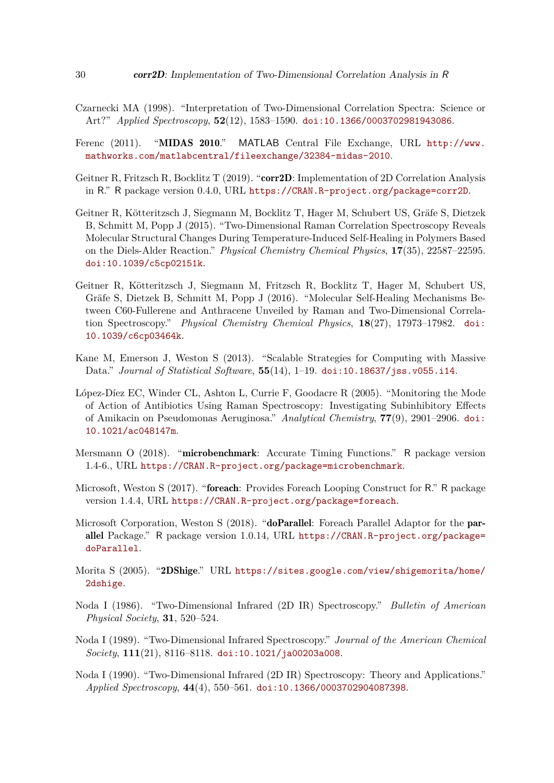- Czarnecki MA (1998). "Interpretation of Two-Dimensional Correlation Spectra: Science or Art?" *Applied Spectroscopy*, **52**(12), 1583–1590. doi:10.1366/0003702981943086.
- Ferenc (2011). "MIDAS 2010." MATLAB Central File Exchange, URL http://www. mathworks.com/matlabcentral/fileexchange/32384-midas-2010.
- Geitner R, Fritzsch R, Bocklitz T (2019). "corr2D: Implementation of 2D Correlation Analysis in R." R package version 0.4.0, URL https://CRAN.R-project.org/package=corr2D.
- Geitner R, Kötteritzsch J, Siegmann M, Bocklitz T, Hager M, Schubert US, Gräfe S, Dietzek B, Schmitt M, Popp J (2015). "Two-Dimensional Raman Correlation Spectroscopy Reveals Molecular Structural Changes During Temperature-Induced Self-Healing in Polymers Based on the Diels-Alder Reaction." *Physical Chemistry Chemical Physics*, **17**(35), 22587–22595. doi:10.1039/c5cp02151k.
- Geitner R, Kötteritzsch J, Siegmann M, Fritzsch R, Bocklitz T, Hager M, Schubert US, Gräfe S, Dietzek B, Schmitt M, Popp J (2016). "Molecular Self-Healing Mechanisms Between C60-Fullerene and Anthracene Unveiled by Raman and Two-Dimensional Correlation Spectroscopy." *Physical Chemistry Chemical Physics*, **18**(27), 17973–17982. doi: 10.1039/c6cp03464k.
- Kane M, Emerson J, Weston S (2013). "Scalable Strategies for Computing with Massive Data." *Journal of Statistical Software*, **55**(14), 1–19. doi:10.18637/jss.v055.i14.
- López-Díez EC, Winder CL, Ashton L, Currie F, Goodacre R (2005). "Monitoring the Mode of Action of Antibiotics Using Raman Spectroscopy: Investigating Subinhibitory Effects of Amikacin on Pseudomonas Aeruginosa." *Analytical Chemistry*, **77**(9), 2901–2906. doi: 10.1021/ac048147m.
- Mersmann O (2018). "microbenchmark: Accurate Timing Functions." R package version 1.4-6., URL https://CRAN.R-project.org/package=microbenchmark.
- Microsoft, Weston S (2017). "foreach: Provides Foreach Looping Construct for R." R package version 1.4.4, URL https://CRAN.R-project.org/package=foreach.
- Microsoft Corporation, Weston S (2018). "doParallel: Foreach Parallel Adaptor for the parallel Package." R package version 1.0.14, URL https://CRAN.R-project.org/package= doParallel.
- Morita S (2005). "2DShige." URL https://sites.google.com/view/shigemorita/home/ 2dshige.
- Noda I (1986). "Two-Dimensional Infrared (2D IR) Spectroscopy." *Bulletin of American Physical Society*, **31**, 520–524.
- Noda I (1989). "Two-Dimensional Infrared Spectroscopy." *Journal of the American Chemical Society*, **111**(21), 8116–8118. doi:10.1021/ja00203a008.
- Noda I (1990). "Two-Dimensional Infrared (2D IR) Spectroscopy: Theory and Applications." *Applied Spectroscopy*, **44**(4), 550–561. doi:10.1366/0003702904087398.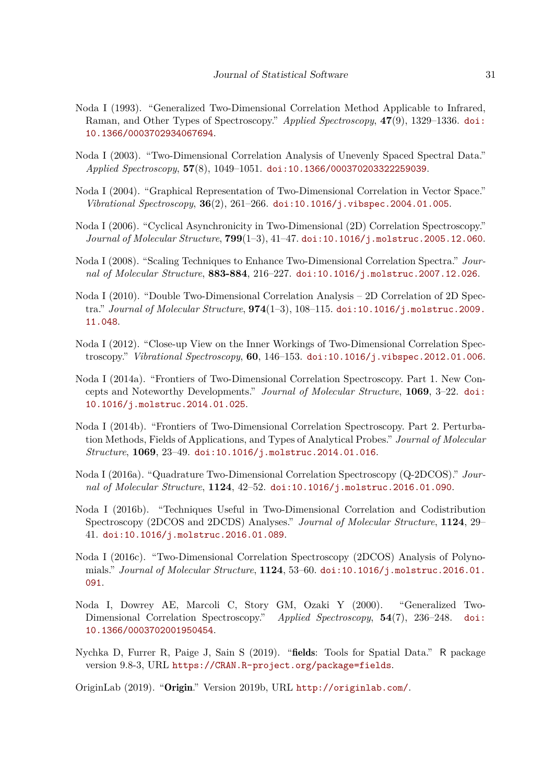- Noda I (1993). "Generalized Two-Dimensional Correlation Method Applicable to Infrared, Raman, and Other Types of Spectroscopy." *Applied Spectroscopy*, **47**(9), 1329–1336. doi: 10.1366/0003702934067694.
- Noda I (2003). "Two-Dimensional Correlation Analysis of Unevenly Spaced Spectral Data." *Applied Spectroscopy*, **57**(8), 1049–1051. doi:10.1366/000370203322259039.
- Noda I (2004). "Graphical Representation of Two-Dimensional Correlation in Vector Space." *Vibrational Spectroscopy*, **36**(2), 261–266. doi:10.1016/j.vibspec.2004.01.005.
- Noda I (2006). "Cyclical Asynchronicity in Two-Dimensional (2D) Correlation Spectroscopy." *Journal of Molecular Structure*, **799**(1–3), 41–47. doi:10.1016/j.molstruc.2005.12.060.
- Noda I (2008). "Scaling Techniques to Enhance Two-Dimensional Correlation Spectra." *Journal of Molecular Structure*, **883-884**, 216–227. doi:10.1016/j.molstruc.2007.12.026.
- Noda I (2010). "Double Two-Dimensional Correlation Analysis 2D Correlation of 2D Spectra." *Journal of Molecular Structure*, **974**(1–3), 108–115. doi:10.1016/j.molstruc.2009. 11.048.
- Noda I (2012). "Close-up View on the Inner Workings of Two-Dimensional Correlation Spectroscopy." *Vibrational Spectroscopy*, **60**, 146–153. doi:10.1016/j.vibspec.2012.01.006.
- Noda I (2014a). "Frontiers of Two-Dimensional Correlation Spectroscopy. Part 1. New Concepts and Noteworthy Developments." *Journal of Molecular Structure*, **1069**, 3–22. doi: 10.1016/j.molstruc.2014.01.025.
- Noda I (2014b). "Frontiers of Two-Dimensional Correlation Spectroscopy. Part 2. Perturbation Methods, Fields of Applications, and Types of Analytical Probes." *Journal of Molecular Structure*, **1069**, 23–49. doi:10.1016/j.molstruc.2014.01.016.
- Noda I (2016a). "Quadrature Two-Dimensional Correlation Spectroscopy (Q-2DCOS)." *Journal of Molecular Structure*, **1124**, 42–52. doi:10.1016/j.molstruc.2016.01.090.
- Noda I (2016b). "Techniques Useful in Two-Dimensional Correlation and Codistribution Spectroscopy (2DCOS and 2DCDS) Analyses." *Journal of Molecular Structure*, **1124**, 29– 41. doi:10.1016/j.molstruc.2016.01.089.
- Noda I (2016c). "Two-Dimensional Correlation Spectroscopy (2DCOS) Analysis of Polynomials." *Journal of Molecular Structure*, **1124**, 53–60. doi:10.1016/j.molstruc.2016.01. 091.
- Noda I, Dowrey AE, Marcoli C, Story GM, Ozaki Y (2000). "Generalized Two-Dimensional Correlation Spectroscopy." *Applied Spectroscopy*, **54**(7), 236–248. doi: 10.1366/0003702001950454.
- Nychka D, Furrer R, Paige J, Sain S (2019). "fields: Tools for Spatial Data." R package version 9.8-3, URL https://CRAN.R-project.org/package=fields.

OriginLab (2019). "Origin." Version 2019b, URL http://originlab.com/.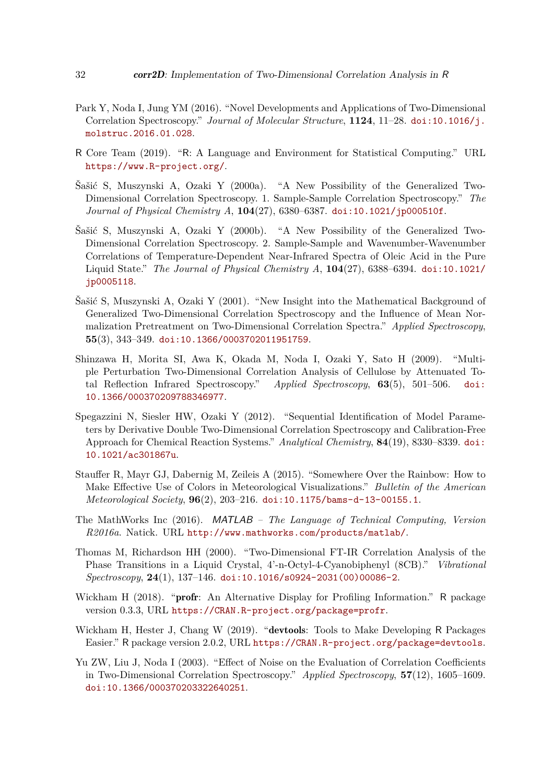- Park Y, Noda I, Jung YM (2016). "Novel Developments and Applications of Two-Dimensional Correlation Spectroscopy." *Journal of Molecular Structure*, **1124**, 11–28. doi:10.1016/j. molstruc.2016.01.028.
- R Core Team (2019). "R: A Language and Environment for Statistical Computing." URL https://www.R-project.org/.
- Šašić S, Muszynski A, Ozaki Y (2000a). "A New Possibility of the Generalized Two-Dimensional Correlation Spectroscopy. 1. Sample-Sample Correlation Spectroscopy." *The Journal of Physical Chemistry A*, **104**(27), 6380–6387. doi:10.1021/jp000510f.
- Šašić S, Muszynski A, Ozaki Y (2000b). "A New Possibility of the Generalized Two-Dimensional Correlation Spectroscopy. 2. Sample-Sample and Wavenumber-Wavenumber Correlations of Temperature-Dependent Near-Infrared Spectra of Oleic Acid in the Pure Liquid State." *The Journal of Physical Chemistry A*, **104**(27), 6388–6394. doi:10.1021/ jp0005118.
- Šašić S, Muszynski A, Ozaki Y (2001). "New Insight into the Mathematical Background of Generalized Two-Dimensional Correlation Spectroscopy and the Influence of Mean Normalization Pretreatment on Two-Dimensional Correlation Spectra." *Applied Spectroscopy*, **55**(3), 343–349. doi:10.1366/0003702011951759.
- Shinzawa H, Morita SI, Awa K, Okada M, Noda I, Ozaki Y, Sato H (2009). "Multiple Perturbation Two-Dimensional Correlation Analysis of Cellulose by Attenuated Total Reflection Infrared Spectroscopy." *Applied Spectroscopy*, **63**(5), 501–506. doi: 10.1366/000370209788346977.
- Spegazzini N, Siesler HW, Ozaki Y (2012). "Sequential Identification of Model Parameters by Derivative Double Two-Dimensional Correlation Spectroscopy and Calibration-Free Approach for Chemical Reaction Systems." *Analytical Chemistry*, **84**(19), 8330–8339. doi: 10.1021/ac301867u.
- Stauffer R, Mayr GJ, Dabernig M, Zeileis A (2015). "Somewhere Over the Rainbow: How to Make Effective Use of Colors in Meteorological Visualizations." *Bulletin of the American Meteorological Society*, **96**(2), 203–216. doi:10.1175/bams-d-13-00155.1.
- The MathWorks Inc (2016). MATLAB  *The Language of Technical Computing, Version R2016a*. Natick. URL http://www.mathworks.com/products/matlab/.
- Thomas M, Richardson HH (2000). "Two-Dimensional FT-IR Correlation Analysis of the Phase Transitions in a Liquid Crystal, 4'-n-Octyl-4-Cyanobiphenyl (8CB)." *Vibrational Spectroscopy*, **24**(1), 137–146. doi:10.1016/s0924-2031(00)00086-2.
- Wickham H (2018). "**profr**: An Alternative Display for Profiling Information." R package version 0.3.3, URL https://CRAN.R-project.org/package=profr.
- Wickham H, Hester J, Chang W (2019). "devtools: Tools to Make Developing R Packages Easier." R package version 2.0.2, URL https://CRAN.R-project.org/package=devtools.
- Yu ZW, Liu J, Noda I (2003). "Effect of Noise on the Evaluation of Correlation Coefficients in Two-Dimensional Correlation Spectroscopy." *Applied Spectroscopy*, **57**(12), 1605–1609. doi:10.1366/000370203322640251.